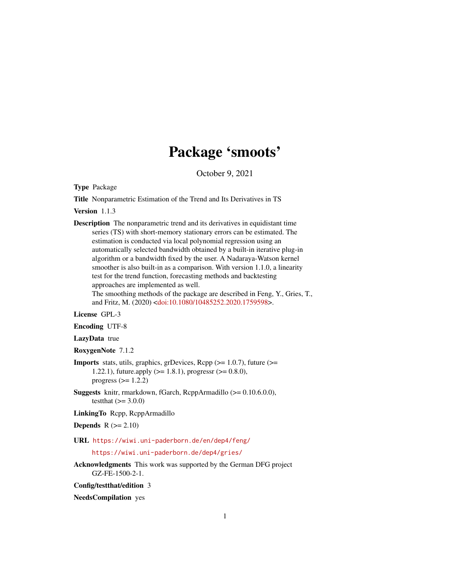# Package 'smoots'

October 9, 2021

<span id="page-0-0"></span>Type Package

Title Nonparametric Estimation of the Trend and Its Derivatives in TS

Version 1.1.3

Description The nonparametric trend and its derivatives in equidistant time series (TS) with short-memory stationary errors can be estimated. The estimation is conducted via local polynomial regression using an automatically selected bandwidth obtained by a built-in iterative plug-in algorithm or a bandwidth fixed by the user. A Nadaraya-Watson kernel smoother is also built-in as a comparison. With version 1.1.0, a linearity test for the trend function, forecasting methods and backtesting approaches are implemented as well. The smoothing methods of the package are described in Feng, Y., Gries, T.,

and Fritz, M. (2020) [<doi:10.1080/10485252.2020.1759598>](https://doi.org/10.1080/10485252.2020.1759598).

License GPL-3

Encoding UTF-8

LazyData true

RoxygenNote 7.1.2

- **Imports** stats, utils, graphics, grDevices, Rcpp  $(>= 1.0.7)$ , future  $(>=$ 1.22.1), future.apply ( $>= 1.8.1$ ), progressr ( $>= 0.8.0$ ), progress  $(>= 1.2.2)$
- Suggests knitr, rmarkdown, fGarch, RcppArmadillo (>= 0.10.6.0.0), testthat  $(>= 3.0.0)$
- LinkingTo Rcpp, RcppArmadillo

Depends  $R (= 2.10)$ 

# URL <https://wiwi.uni-paderborn.de/en/dep4/feng/>

<https://wiwi.uni-paderborn.de/dep4/gries/>

Acknowledgments This work was supported by the German DFG project GZ-FE-1500-2-1.

Config/testthat/edition 3

NeedsCompilation yes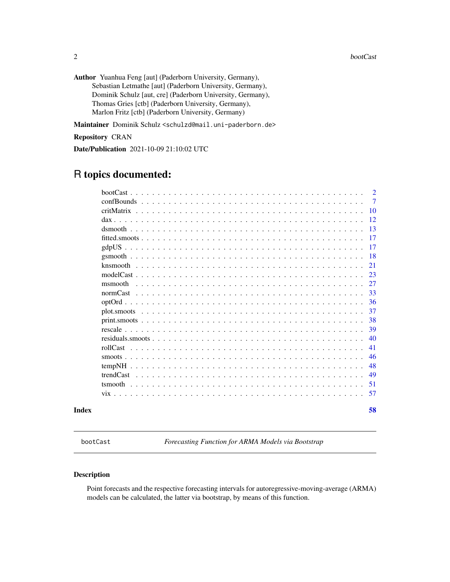<span id="page-1-0"></span>Author Yuanhua Feng [aut] (Paderborn University, Germany), Sebastian Letmathe [aut] (Paderborn University, Germany), Dominik Schulz [aut, cre] (Paderborn University, Germany), Thomas Gries [ctb] (Paderborn University, Germany), Marlon Fritz [ctb] (Paderborn University, Germany)

Maintainer Dominik Schulz <schulzd@mail.uni-paderborn.de>

# Repository CRAN

Date/Publication 2021-10-09 21:10:02 UTC

# R topics documented:

| Index |         | 58             |
|-------|---------|----------------|
|       |         | 57             |
|       |         | 51             |
|       |         | 49             |
|       | tempNH  | 48             |
|       |         | 46             |
|       |         | 41             |
|       |         | 40             |
|       |         | 39             |
|       |         | 38             |
|       |         | 37             |
|       |         | 36             |
|       |         | 33             |
|       | msmooth | 27             |
|       |         | 23             |
|       |         | 21             |
|       |         | 18             |
|       |         | 17<br>17       |
|       |         | 13             |
|       |         | 12             |
|       |         | 10             |
|       |         | $\overline{7}$ |
|       |         | $\overline{2}$ |
|       |         |                |

<span id="page-1-1"></span>bootCast *Forecasting Function for ARMA Models via Bootstrap*

# Description

Point forecasts and the respective forecasting intervals for autoregressive-moving-average (ARMA) models can be calculated, the latter via bootstrap, by means of this function.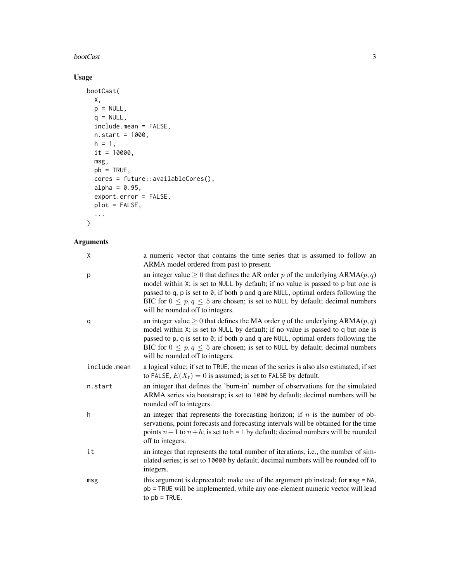# bootCast 3

# Usage

```
bootCast(
  X,
  p = NULL,q = NULL,include.mean = FALSE,
  n.start = 1000,
  h = 1,it = 10000,msg,
  pb = TRUE,cores = future::availableCores(),
  alpha = 0.95,
  export.error = FALSE,
  plot = FALSE,
  ...
\mathcal{L}
```
# Arguments

| χ            | a numeric vector that contains the time series that is assumed to follow an<br>ARMA model ordered from past to present.                                                                                                                                                                                                                                                               |
|--------------|---------------------------------------------------------------------------------------------------------------------------------------------------------------------------------------------------------------------------------------------------------------------------------------------------------------------------------------------------------------------------------------|
| р            | an integer value $\geq 0$ that defines the AR order p of the underlying ARMA(p, q)<br>model within X; is set to NULL by default; if no value is passed to p but one is<br>passed to q, p is set to 0; if both p and q are NULL, optimal orders following the<br>BIC for $0 \le p, q \le 5$ are chosen; is set to NULL by default; decimal numbers<br>will be rounded off to integers. |
| q            | an integer value $\geq 0$ that defines the MA order q of the underlying ARMA(p, q)<br>model within X; is set to NULL by default; if no value is passed to q but one is<br>passed to p, q is set to 0; if both p and q are NULL, optimal orders following the<br>BIC for $0 \le p, q \le 5$ are chosen; is set to NULL by default; decimal numbers<br>will be rounded off to integers. |
| include.mean | a logical value; if set to TRUE, the mean of the series is also also estimated; if set<br>to FALSE, $E(X_t) = 0$ is assumed; is set to FALSE by default.                                                                                                                                                                                                                              |
| n.start      | an integer that defines the 'burn-in' number of observations for the simulated<br>ARMA series via bootstrap; is set to 1000 by default; decimal numbers will be<br>rounded off to integers.                                                                                                                                                                                           |
| h            | an integer that represents the forecasting horizon; if $n$ is the number of ob-<br>servations, point forecasts and forecasting intervals will be obtained for the time<br>points $n+1$ to $n+h$ ; is set to $h = 1$ by default; decimal numbers will be rounded<br>off to integers.                                                                                                   |
| it           | an integer that represents the total number of iterations, i.e., the number of sim-<br>ulated series; is set to 10000 by default; decimal numbers will be rounded off to<br>integers.                                                                                                                                                                                                 |
| msg          | this argument is deprecated; make use of the argument pb instead; for msg = NA,<br>pb = TRUE will be implemented, while any one-element numeric vector will lead<br>to $pb$ = TRUE.                                                                                                                                                                                                   |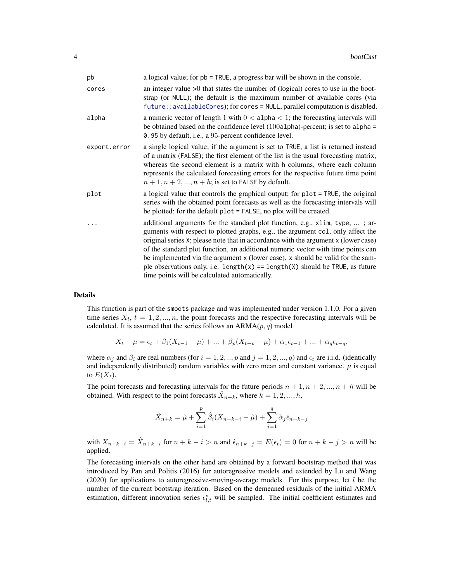<span id="page-3-0"></span>

| pb           | a logical value; for pb = TRUE, a progress bar will be shown in the console.                                                                                                                                                                                                                                                                                                                                                                                                                                                                                       |
|--------------|--------------------------------------------------------------------------------------------------------------------------------------------------------------------------------------------------------------------------------------------------------------------------------------------------------------------------------------------------------------------------------------------------------------------------------------------------------------------------------------------------------------------------------------------------------------------|
| cores        | an integer value $>0$ that states the number of (logical) cores to use in the boot-<br>strap (or NULL); the default is the maximum number of available cores (via<br>future:: availableCores); for cores = NULL, parallel computation is disabled.                                                                                                                                                                                                                                                                                                                 |
| alpha        | a numeric vector of length 1 with $0 <$ alpha $<$ 1; the forecasting intervals will<br>be obtained based on the confidence level $(100a1pha)$ -percent; is set to a1pha =<br>0.95 by default, i.e., a 95-percent confidence level.                                                                                                                                                                                                                                                                                                                                 |
| export.error | a single logical value; if the argument is set to TRUE, a list is returned instead<br>of a matrix (FALSE); the first element of the list is the usual forecasting matrix,<br>whereas the second element is a matrix with h columns, where each column<br>represents the calculated forecasting errors for the respective future time point<br>$n+1, n+2, , n+h$ ; is set to FALSE by default.                                                                                                                                                                      |
| plot         | a logical value that controls the graphical output; for plot = TRUE, the original<br>series with the obtained point forecasts as well as the forecasting intervals will<br>be plotted; for the default plot = FALSE, no plot will be created.                                                                                                                                                                                                                                                                                                                      |
|              | additional arguments for the standard plot function, e.g., x1im, type, ; ar-<br>guments with respect to plotted graphs, e.g., the argument col, only affect the<br>original series X; please note that in accordance with the argument x (lower case)<br>of the standard plot function, an additional numeric vector with time points can<br>be implemented via the argument x (lower case). x should be valid for the sam-<br>ple observations only, i.e. length $(x)$ == length $(X)$ should be TRUE, as future<br>time points will be calculated automatically. |

#### Details

This function is part of the smoots package and was implemented under version 1.1.0. For a given time series  $X_t$ ,  $t = 1, 2, ..., n$ , the point forecasts and the respective forecasting intervals will be calculated. It is assumed that the series follows an  $ARMA(p, q)$  model

$$
X_t - \mu = \epsilon_t + \beta_1 (X_{t-1} - \mu) + \dots + \beta_p (X_{t-p} - \mu) + \alpha_1 \epsilon_{t-1} + \dots + \alpha_q \epsilon_{t-q},
$$

where  $\alpha_j$  and  $\beta_i$  are real numbers (for  $i = 1, 2, ..., p$  and  $j = 1, 2, ..., q$ ) and  $\epsilon_t$  are i.i.d. (identically and independently distributed) random variables with zero mean and constant variance.  $\mu$  is equal to  $E(X_t)$ .

The point forecasts and forecasting intervals for the future periods  $n + 1, n + 2, ..., n + h$  will be obtained. With respect to the point forecasts  $\hat{X}_{n+k}$ , where  $\hat{k} = 1, 2, ..., h$ ,

$$
\hat{X}_{n+k} = \hat{\mu} + \sum_{i=1}^{p} \hat{\beta}_i (X_{n+k-i} - \hat{\mu}) + \sum_{j=1}^{q} \hat{\alpha}_j \hat{\epsilon}_{n+k-j}
$$

with  $X_{n+k-i} = \hat{X}_{n+k-i}$  for  $n+k-i > n$  and  $\hat{\epsilon}_{n+k-j} = E(\epsilon_t) = 0$  for  $n+k-j > n$  will be applied.

The forecasting intervals on the other hand are obtained by a forward bootstrap method that was introduced by Pan and Politis (2016) for autoregressive models and extended by Lu and Wang (2020) for applications to autoregressive-moving-average models. For this purpose, let  $l$  be the number of the current bootstrap iteration. Based on the demeaned residuals of the initial ARMA estimation, different innovation series  $\epsilon_{l,t}^s$  will be sampled. The initial coefficient estimates and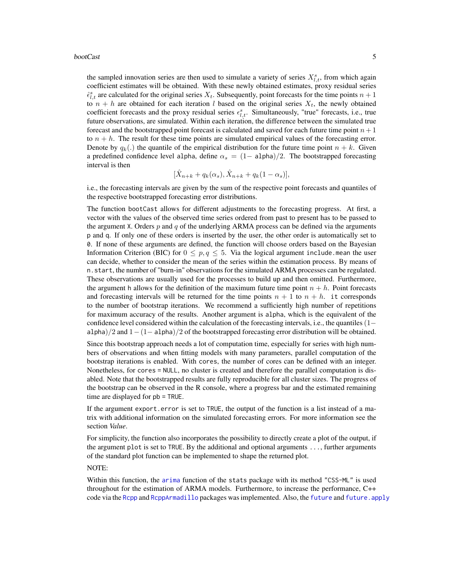<span id="page-4-0"></span>the sampled innovation series are then used to simulate a variety of series  $X_{i,t}^s$ , from which again coefficient estimates will be obtained. With these newly obtained estimates, proxy residual series  $\hat{\epsilon}_{l,t}^s$  are calculated for the original series  $X_t$ . Subsequently, point forecasts for the time points  $n+1$ to  $n + h$  are obtained for each iteration l based on the original series  $X_t$ , the newly obtained coefficient forecasts and the proxy residual series  $\epsilon_{l,t}^s$ . Simultaneously, "true" forecasts, i.e., true future observations, are simulated. Within each iteration, the difference between the simulated true forecast and the bootstrapped point forecast is calculated and saved for each future time point  $n + 1$ to  $n + h$ . The result for these time points are simulated empirical values of the forecasting error. Denote by  $q_k(.)$  the quantile of the empirical distribution for the future time point  $n + k$ . Given a predefined confidence level alpha, define  $\alpha_s = (1-\text{alpha})/2$ . The bootstrapped forecasting interval is then

$$
[\hat{X}_{n+k} + q_k(\alpha_s), \hat{X}_{n+k} + q_k(1-\alpha_s)],
$$

i.e., the forecasting intervals are given by the sum of the respective point forecasts and quantiles of the respective bootstrapped forecasting error distributions.

The function bootCast allows for different adjustments to the forecasting progress. At first, a vector with the values of the observed time series ordered from past to present has to be passed to the argument X. Orders  $p$  and  $q$  of the underlying ARMA process can be defined via the arguments p and q. If only one of these orders is inserted by the user, the other order is automatically set to 0. If none of these arguments are defined, the function will choose orders based on the Bayesian Information Criterion (BIC) for  $0 \le p, q \le 5$ . Via the logical argument include mean the user can decide, whether to consider the mean of the series within the estimation process. By means of n.start, the number of "burn-in" observations for the simulated ARMA processes can be regulated. These observations are usually used for the processes to build up and then omitted. Furthermore, the argument h allows for the definition of the maximum future time point  $n + h$ . Point forecasts and forecasting intervals will be returned for the time points  $n + 1$  to  $n + h$ . it corresponds to the number of bootstrap iterations. We recommend a sufficiently high number of repetitions for maximum accuracy of the results. Another argument is alpha, which is the equivalent of the confidence level considered within the calculation of the forecasting intervals, i.e., the quantiles  $(1$ alpha)/2 and  $1-(1-a1pha)/2$  of the bootstrapped forecasting error distribution will be obtained.

Since this bootstrap approach needs a lot of computation time, especially for series with high numbers of observations and when fitting models with many parameters, parallel computation of the bootstrap iterations is enabled. With cores, the number of cores can be defined with an integer. Nonetheless, for cores = NULL, no cluster is created and therefore the parallel computation is disabled. Note that the bootstrapped results are fully reproducible for all cluster sizes. The progress of the bootstrap can be observed in the R console, where a progress bar and the estimated remaining time are displayed for pb = TRUE.

If the argument export.error is set to TRUE, the output of the function is a list instead of a matrix with additional information on the simulated forecasting errors. For more information see the section *Value*.

For simplicity, the function also incorporates the possibility to directly create a plot of the output, if the argument plot is set to TRUE. By the additional and optional arguments ..., further arguments of the standard plot function can be implemented to shape the returned plot.

# NOTE:

Within this function, the [arima](#page-0-0) function of the stats package with its method "CSS-ML" is used throughout for the estimation of ARMA models. Furthermore, to increase the performance, C++ code via the [Rcpp](#page-0-0) and [RcppArmadillo](#page-0-0) packages was implemented. Also, the [future](#page-0-0) and [future.apply](#page-0-0)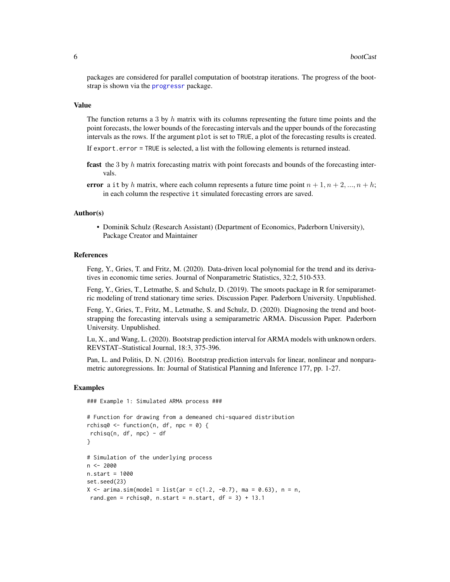<span id="page-5-0"></span>packages are considered for parallel computation of bootstrap iterations. The progress of the bootstrap is shown via the [progressr](#page-0-0) package.

#### Value

The function returns a 3 by  $h$  matrix with its columns representing the future time points and the point forecasts, the lower bounds of the forecasting intervals and the upper bounds of the forecasting intervals as the rows. If the argument plot is set to TRUE, a plot of the forecasting results is created.

If export.error = TRUE is selected, a list with the following elements is returned instead.

- fcast the 3 by  $h$  matrix forecasting matrix with point forecasts and bounds of the forecasting intervals.
- error a it by h matrix, where each column represents a future time point  $n + 1, n + 2, ..., n + h$ ; in each column the respective it simulated forecasting errors are saved.

# Author(s)

• Dominik Schulz (Research Assistant) (Department of Economics, Paderborn University), Package Creator and Maintainer

# References

Feng, Y., Gries, T. and Fritz, M. (2020). Data-driven local polynomial for the trend and its derivatives in economic time series. Journal of Nonparametric Statistics, 32:2, 510-533.

Feng, Y., Gries, T., Letmathe, S. and Schulz, D. (2019). The smoots package in R for semiparametric modeling of trend stationary time series. Discussion Paper. Paderborn University. Unpublished.

Feng, Y., Gries, T., Fritz, M., Letmathe, S. and Schulz, D. (2020). Diagnosing the trend and bootstrapping the forecasting intervals using a semiparametric ARMA. Discussion Paper. Paderborn University. Unpublished.

Lu, X., and Wang, L. (2020). Bootstrap prediction interval for ARMA models with unknown orders. REVSTAT–Statistical Journal, 18:3, 375-396.

Pan, L. and Politis, D. N. (2016). Bootstrap prediction intervals for linear, nonlinear and nonparametric autoregressions. In: Journal of Statistical Planning and Inference 177, pp. 1-27.

# Examples

### Example 1: Simulated ARMA process ###

```
# Function for drawing from a demeaned chi-squared distribution
rchisq0 <- function(n, df, npc = 0) {
rchisq(n, df, npc) - df
}
# Simulation of the underlying process
n <- 2000
n.start = 1000
set.seed(23)
X \le - arima.sim(model = list(ar = c(1.2, -0.7), ma = 0.63), n = n,
rand.gen = rchisq0, n.start = n.start, df = 3) + 13.1
```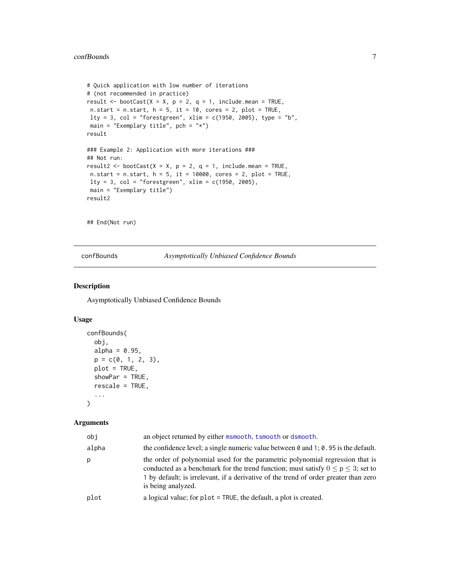```
# Quick application with low number of iterations
# (not recommended in practice)
result \leq bootCast(X = X, p = 2, q = 1, include.mean = TRUE,
n.start = n.start, h = 5, it = 10, cores = 2, plot = TRUE,
lty = 3, col = "forestgreen", xlim = c(1950, 2005), type = "b",
main = "Exemplary title", pch = "*")
result
### Example 2: Application with more iterations ###
## Not run:
result2 <- bootCast(X = X, p = 2, q = 1, include.mean = TRUE,
n.start = n.start, h = 5, it = 10000, cores = 2, plot = TRUE,lty = 3, col = "forestgreen", xlim = c(1950, 2005),
main = "Exemplary title")
result2
```
## End(Not run)

<span id="page-6-1"></span>confBounds *Asymptotically Unbiased Confidence Bounds*

# Description

Asymptotically Unbiased Confidence Bounds

#### Usage

```
confBounds(
  obj,
  alpha = 0.95,
 p = c(0, 1, 2, 3),
 plot = TRUE,
  showPar = TRUE,
  rescale = TRUE,
  ...
)
```
# Arguments

| obi   | an object returned by either msmooth, tsmooth or dsmooth.                                                                                                                                                                                                                             |
|-------|---------------------------------------------------------------------------------------------------------------------------------------------------------------------------------------------------------------------------------------------------------------------------------------|
| alpha | the confidence level; a single numeric value between $\theta$ and 1; $\theta$ . 95 is the default.                                                                                                                                                                                    |
| p     | the order of polynomial used for the parametric polynomial regression that is<br>conducted as a benchmark for the trend function; must satisfy $0 \le p \le 3$ ; set to<br>1 by default; is irrelevant, if a derivative of the trend of order greater than zero<br>is being analyzed. |
| plot  | a logical value; for $plot = TRUE$ , the default, a plot is created.                                                                                                                                                                                                                  |
|       |                                                                                                                                                                                                                                                                                       |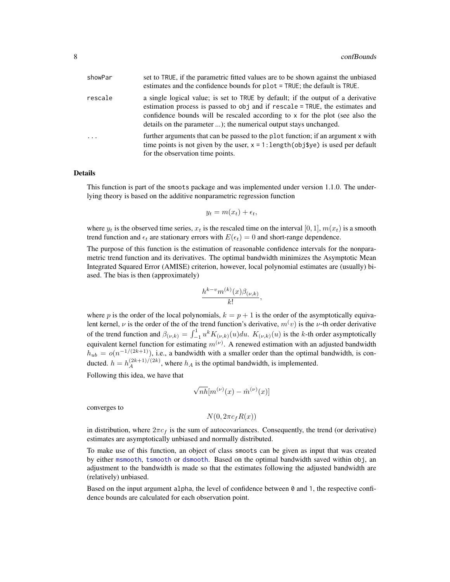<span id="page-7-0"></span>

| showPar  | set to TRUE, if the parametric fitted values are to be shown against the unbiased<br>estimates and the confidence bounds for plot = TRUE; the default is TRUE.                                                                                                                                                        |
|----------|-----------------------------------------------------------------------------------------------------------------------------------------------------------------------------------------------------------------------------------------------------------------------------------------------------------------------|
| rescale  | a single logical value; is set to TRUE by default; if the output of a derivative<br>estimation process is passed to obj and if rescale = TRUE, the estimates and<br>confidence bounds will be rescaled according to x for the plot (see also the<br>details on the parameter ); the numerical output stays unchanged. |
| $\cdots$ | further arguments that can be passed to the plot function; if an argument x with<br>time points is not given by the user, $x = 1$ : length(obj\$ye) is used per default<br>for the observation time points.                                                                                                           |

# Details

This function is part of the smoots package and was implemented under version 1.1.0. The underlying theory is based on the additive nonparametric regression function

$$
y_t = m(x_t) + \epsilon_t,
$$

where  $y_t$  is the observed time series,  $x_t$  is the rescaled time on the interval [0, 1],  $m(x_t)$  is a smooth trend function and  $\epsilon_t$  are stationary errors with  $E(\epsilon_t) = 0$  and short-range dependence.

The purpose of this function is the estimation of reasonable confidence intervals for the nonparametric trend function and its derivatives. The optimal bandwidth minimizes the Asymptotic Mean Integrated Squared Error (AMISE) criterion, however, local polynomial estimates are (usually) biased. The bias is then (approximately)

$$
\frac{h^{k-v}m^{(k)}(x)\beta_{(\nu,k)}}{k!}
$$

,

where p is the order of the local polynomials,  $k = p + 1$  is the order of the asymptotically equivalent kernel,  $\nu$  is the order of the of the trend function's derivative,  $m(v)$  is the  $\nu$ -th order derivative of the trend function and  $\beta_{(\nu,k)} = \int_{-1}^{1} u^k K_{(\nu,k)}(u) du$ .  $K_{(\nu,k)}(u)$  is the k-th order asymptotically equivalent kernel function for estimating  $m^{(\nu)}$ . A renewed estimation with an adjusted bandwidth  $h_{ub} = o(n^{-1/(2k+1)})$ , i.e., a bandwidth with a smaller order than the optimal bandwidth, is conducted.  $h = h_A^{(2k+1)/(2k)}$ , where  $h_A$  is the optimal bandwidth, is implemented.

Following this idea, we have that

$$
\sqrt{nh}[m^{(\nu)}(x) - \hat{m}^{(\nu)}(x)]
$$

converges to

$$
N(0, 2\pi c_f R(x))
$$

in distribution, where  $2\pi c_f$  is the sum of autocovariances. Consequently, the trend (or derivative) estimates are asymptotically unbiased and normally distributed.

To make use of this function, an object of class smoots can be given as input that was created by either [msmooth](#page-26-1), [tsmooth](#page-50-1) or [dsmooth](#page-12-1). Based on the optimal bandwidth saved within obj, an adjustment to the bandwidth is made so that the estimates following the adjusted bandwidth are (relatively) unbiased.

Based on the input argument alpha, the level of confidence between  $\theta$  and 1, the respective confidence bounds are calculated for each observation point.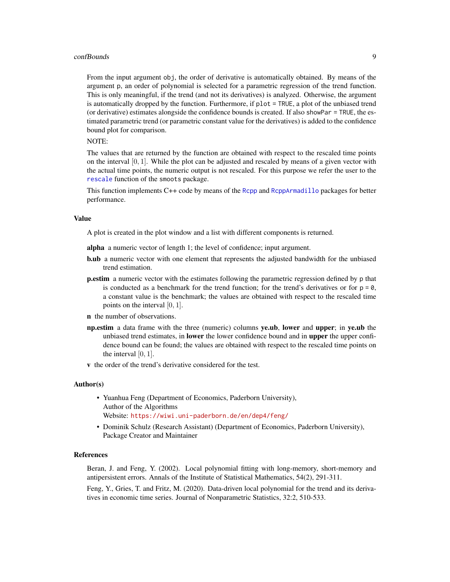#### <span id="page-8-0"></span>confBounds **9**

From the input argument obj, the order of derivative is automatically obtained. By means of the argument p, an order of polynomial is selected for a parametric regression of the trend function. This is only meaningful, if the trend (and not its derivatives) is analyzed. Otherwise, the argument is automatically dropped by the function. Furthermore, if plot = TRUE, a plot of the unbiased trend (or derivative) estimates alongside the confidence bounds is created. If also showPar = TRUE, the estimated parametric trend (or parametric constant value for the derivatives) is added to the confidence bound plot for comparison.

# NOTE:

The values that are returned by the function are obtained with respect to the rescaled time points on the interval  $[0, 1]$ . While the plot can be adjusted and rescaled by means of a given vector with the actual time points, the numeric output is not rescaled. For this purpose we refer the user to the [rescale](#page-38-1) function of the smoots package.

This function implements C++ code by means of the [Rcpp](#page-0-0) and [RcppArmadillo](#page-0-0) packages for better performance.

#### Value

A plot is created in the plot window and a list with different components is returned.

- alpha a numeric vector of length 1; the level of confidence; input argument.
- b.ub a numeric vector with one element that represents the adjusted bandwidth for the unbiased trend estimation.
- p.estim a numeric vector with the estimates following the parametric regression defined by p that is conducted as a benchmark for the trend function; for the trend's derivatives or for  $p = 0$ , a constant value is the benchmark; the values are obtained with respect to the rescaled time points on the interval [0, 1].
- n the number of observations.
- np.estim a data frame with the three (numeric) columns ye.ub, lower and upper; in ye.ub the unbiased trend estimates, in **lower** the lower confidence bound and in upper the upper confidence bound can be found; the values are obtained with respect to the rescaled time points on the interval [0, 1].
- v the order of the trend's derivative considered for the test.

#### Author(s)

- Yuanhua Feng (Department of Economics, Paderborn University), Author of the Algorithms Website: <https://wiwi.uni-paderborn.de/en/dep4/feng/>
- Dominik Schulz (Research Assistant) (Department of Economics, Paderborn University), Package Creator and Maintainer

# References

Beran, J. and Feng, Y. (2002). Local polynomial fitting with long-memory, short-memory and antipersistent errors. Annals of the Institute of Statistical Mathematics, 54(2), 291-311.

Feng, Y., Gries, T. and Fritz, M. (2020). Data-driven local polynomial for the trend and its derivatives in economic time series. Journal of Nonparametric Statistics, 32:2, 510-533.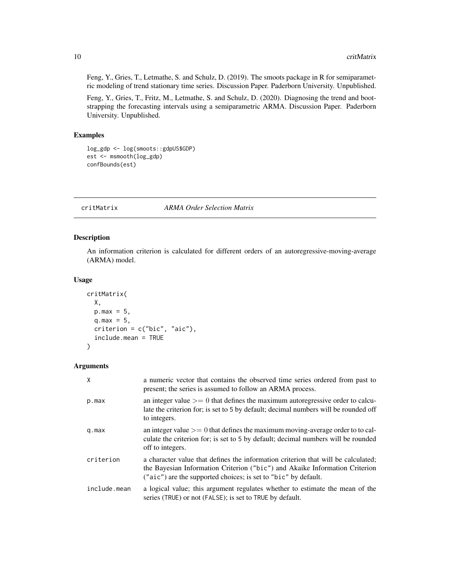<span id="page-9-0"></span>Feng, Y., Gries, T., Letmathe, S. and Schulz, D. (2019). The smoots package in R for semiparametric modeling of trend stationary time series. Discussion Paper. Paderborn University. Unpublished.

Feng, Y., Gries, T., Fritz, M., Letmathe, S. and Schulz, D. (2020). Diagnosing the trend and bootstrapping the forecasting intervals using a semiparametric ARMA. Discussion Paper. Paderborn University. Unpublished.

# Examples

```
log_gdp <- log(smoots::gdpUS$GDP)
est <- msmooth(log_gdp)
confBounds(est)
```
<span id="page-9-1"></span>critMatrix *ARMA Order Selection Matrix*

# Description

An information criterion is calculated for different orders of an autoregressive-moving-average (ARMA) model.

# Usage

```
critMatrix(
  X,
 p.max = 5,
  q.max = 5,
  criterion = c("bic", "aic"),
  include.mean = TRUE
)
```
# Arguments

| $\mathsf{X}$ | a numeric vector that contains the observed time series ordered from past to<br>present; the series is assumed to follow an ARMA process.                                                                                          |
|--------------|------------------------------------------------------------------------------------------------------------------------------------------------------------------------------------------------------------------------------------|
| p.max        | an integer value $\geq$ 0 that defines the maximum autoregressive order to calcu-<br>late the criterion for; is set to 5 by default; decimal numbers will be rounded off<br>to integers.                                           |
| q.max        | an integer value $\geq$ 0 that defines the maximum moving-average order to to cal-<br>culate the criterion for; is set to 5 by default; decimal numbers will be rounded<br>off to integers.                                        |
| criterion    | a character value that defines the information criterion that will be calculated;<br>the Bayesian Information Criterion ("bic") and Akaike Information Criterion<br>("aic") are the supported choices; is set to "bic" by default. |
| include.mean | a logical value; this argument regulates whether to estimate the mean of the<br>series (TRUE) or not (FALSE); is set to TRUE by default.                                                                                           |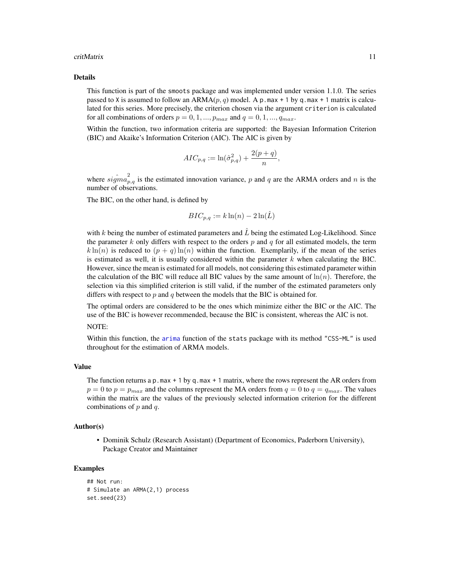#### <span id="page-10-0"></span>critMatrix 11

#### Details

This function is part of the smoots package and was implemented under version 1.1.0. The series passed to X is assumed to follow an ARMA $(p, q)$  model. A p.max + 1 by q.max + 1 matrix is calculated for this series. More precisely, the criterion chosen via the argument criterion is calculated for all combinations of orders  $p = 0, 1, ..., p_{max}$  and  $q = 0, 1, ..., q_{max}$ .

Within the function, two information criteria are supported: the Bayesian Information Criterion (BIC) and Akaike's Information Criterion (AIC). The AIC is given by

$$
ALC_{p,q} := \ln(\hat{\sigma}_{p,q}^2) + \frac{2(p+q)}{n},
$$

where  $\hat{sigma}_{p,q}^2$  is the estimated innovation variance, p and q are the ARMA orders and n is the number of observations.

The BIC, on the other hand, is defined by

$$
BIC_{p,q} := k \ln(n) - 2 \ln(\hat{L})
$$

with k being the number of estimated parameters and  $\tilde{L}$  being the estimated Log-Likelihood. Since the parameter k only differs with respect to the orders  $p$  and  $q$  for all estimated models, the term  $k \ln(n)$  is reduced to  $(p + q) \ln(n)$  within the function. Exemplarily, if the mean of the series is estimated as well, it is usually considered within the parameter  $k$  when calculating the BIC. However, since the mean is estimated for all models, not considering this estimated parameter within the calculation of the BIC will reduce all BIC values by the same amount of  $\ln(n)$ . Therefore, the selection via this simplified criterion is still valid, if the number of the estimated parameters only differs with respect to  $p$  and  $q$  between the models that the BIC is obtained for.

The optimal orders are considered to be the ones which minimize either the BIC or the AIC. The use of the BIC is however recommended, because the BIC is consistent, whereas the AIC is not. NOTE:

Within this function, the [arima](#page-0-0) function of the stats package with its method "CSS-ML" is used throughout for the estimation of ARMA models.

#### Value

The function returns a  $p$  max + 1 by q max + 1 matrix, where the rows represent the AR orders from  $p = 0$  to  $p = p_{max}$  and the columns represent the MA orders from  $q = 0$  to  $q = q_{max}$ . The values within the matrix are the values of the previously selected information criterion for the different combinations of  $p$  and  $q$ .

#### Author(s)

• Dominik Schulz (Research Assistant) (Department of Economics, Paderborn University), Package Creator and Maintainer

# Examples

<sup>##</sup> Not run: # Simulate an ARMA(2,1) process set.seed(23)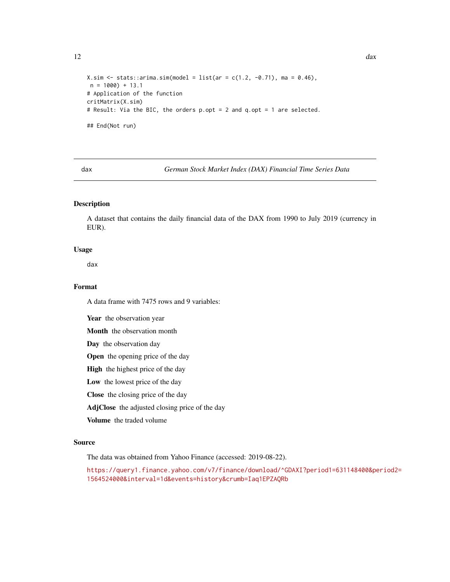```
X \sin \leftarrow stats::arima.sim(model = list(ar = c(1.2, -0.71), ma = 0.46),
n = 1000) + 13.1
# Application of the function
critMatrix(X.sim)
# Result: Via the BIC, the orders p.opt = 2 and q.opt = 1 are selected.
## End(Not run)
```
<span id="page-11-1"></span>

dax *German Stock Market Index (DAX) Financial Time Series Data*

# Description

A dataset that contains the daily financial data of the DAX from 1990 to July 2019 (currency in EUR).

# Usage

dax

# Format

A data frame with 7475 rows and 9 variables:

Year the observation year

Month the observation month

Day the observation day

Open the opening price of the day

High the highest price of the day

Low the lowest price of the day

Close the closing price of the day

AdjClose the adjusted closing price of the day

Volume the traded volume

# Source

The data was obtained from Yahoo Finance (accessed: 2019-08-22).

[https://query1.finance.yahoo.com/v7/finance/download/^GDAXI?period1=631148400&pe](https://query1.finance.yahoo.com/v7/finance/download/^GDAXI?period1=631148400&period2=1564524000&interval=1d&events=history&crumb=Iaq1EPZAQRb)riod2= [1564524000&interval=1d&events=history&crumb=Iaq1EPZAQRb](https://query1.finance.yahoo.com/v7/finance/download/^GDAXI?period1=631148400&period2=1564524000&interval=1d&events=history&crumb=Iaq1EPZAQRb)

<span id="page-11-0"></span>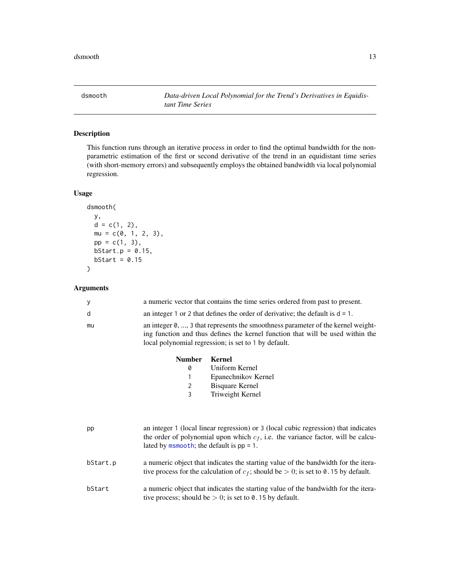<span id="page-12-1"></span><span id="page-12-0"></span>dsmooth *Data-driven Local Polynomial for the Trend's Derivatives in Equidistant Time Series*

# Description

This function runs through an iterative process in order to find the optimal bandwidth for the nonparametric estimation of the first or second derivative of the trend in an equidistant time series (with short-memory errors) and subsequently employs the obtained bandwidth via local polynomial regression.

# Usage

```
dsmooth(
 y,
 d = c(1, 2),
 mu = c(0, 1, 2, 3),pp = c(1, 3),
 bStart.p = 0.15,
 bStart = 0.15)
```
# Arguments

| y        | a numeric vector that contains the time series ordered from past to present.                                                                                                                                                 |  |  |  |
|----------|------------------------------------------------------------------------------------------------------------------------------------------------------------------------------------------------------------------------------|--|--|--|
| d        | an integer 1 or 2 that defines the order of derivative; the default is $d = 1$ .                                                                                                                                             |  |  |  |
| mu       | an integer 0, , 3 that represents the smoothness parameter of the kernel weight-<br>ing function and thus defines the kernel function that will be used within the<br>local polynomial regression; is set to 1 by default.   |  |  |  |
|          | <b>Kernel</b><br><b>Number</b>                                                                                                                                                                                               |  |  |  |
|          | Uniform Kernel<br>0                                                                                                                                                                                                          |  |  |  |
|          | Epanechnikov Kernel<br>1                                                                                                                                                                                                     |  |  |  |
|          | <b>Bisquare Kernel</b><br>2                                                                                                                                                                                                  |  |  |  |
|          | 3<br>Triweight Kernel                                                                                                                                                                                                        |  |  |  |
|          |                                                                                                                                                                                                                              |  |  |  |
| pp       | an integer 1 (local linear regression) or 3 (local cubic regression) that indicates<br>the order of polynomial upon which $c_f$ , i.e. the variance factor, will be calcu-<br>lated by $msmooth$ ; the default is $pp = 1$ . |  |  |  |
| bStart.p | a numeric object that indicates the starting value of the bandwidth for the itera-<br>tive process for the calculation of $c_f$ ; should be $> 0$ ; is set to 0.15 by default.                                               |  |  |  |
| bStart   | a numeric object that indicates the starting value of the bandwidth for the itera-<br>tive process; should be $> 0$ ; is set to 0.15 by default.                                                                             |  |  |  |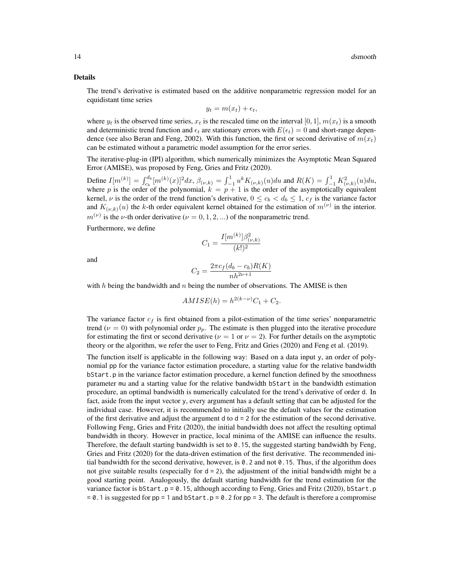#### Details

The trend's derivative is estimated based on the additive nonparametric regression model for an equidistant time series

$$
y_t = m(x_t) + \epsilon_t,
$$

where  $y_t$  is the observed time series,  $x_t$  is the rescaled time on the interval [0, 1],  $m(x_t)$  is a smooth and deterministic trend function and  $\epsilon_t$  are stationary errors with  $E(\epsilon_t) = 0$  and short-range dependence (see also Beran and Feng, 2002). With this function, the first or second derivative of  $m(x_t)$ can be estimated without a parametric model assumption for the error series.

The iterative-plug-in (IPI) algorithm, which numerically minimizes the Asymptotic Mean Squared Error (AMISE), was proposed by Feng, Gries and Fritz (2020).

Define  $I[m^{(k)}] = \int_{c_b}^{d_b} [m^{(k)}(x)]^2 dx$ ,  $\beta_{(\nu,k)} = \int_{-1}^{1} u^k K_{(\nu,k)}(u) du$  and  $R(K) = \int_{-1}^{1} K_{(\nu,k)}^2(u) du$ , where p is the order of the polynomial,  $k = p + 1$  is the order of the asymptotically equivalent kernel,  $\nu$  is the order of the trend function's derivative,  $0 \le c_b < d_b \le 1$ ,  $c_f$  is the variance factor and  $K_{(\nu,k)}(u)$  the k-th order equivalent kernel obtained for the estimation of  $m^{(\nu)}$  in the interior.  $m^{(\nu)}$  is the *ν*-th order derivative ( $\nu = 0, 1, 2, ...$ ) of the nonparametric trend.

Furthermore, we define

$$
C_1 = \frac{I[m^{(k)}]\beta_{(\nu,k)}^2}{(k!)^2}
$$

and

$$
C_2 = \frac{2\pi c_f (d_b - c_b)R(K)}{nh^{2\nu + 1}}
$$

with  $h$  being the bandwidth and  $n$  being the number of observations. The AMISE is then

$$
AMISE(h) = h^{2(k-\nu)}C_1 + C_2.
$$

The variance factor  $c_f$  is first obtained from a pilot-estimation of the time series' nonparametric trend ( $\nu = 0$ ) with polynomial order  $p_p$ . The estimate is then plugged into the iterative procedure for estimating the first or second derivative ( $\nu = 1$  or  $\nu = 2$ ). For further details on the asymptotic theory or the algorithm, we refer the user to Feng, Fritz and Gries (2020) and Feng et al. (2019).

The function itself is applicable in the following way: Based on a data input y, an order of polynomial pp for the variance factor estimation procedure, a starting value for the relative bandwidth bStart.p in the variance factor estimation procedure, a kernel function defined by the smoothness parameter mu and a starting value for the relative bandwidth bStart in the bandwidth estimation procedure, an optimal bandwidth is numerically calculated for the trend's derivative of order d. In fact, aside from the input vector y, every argument has a default setting that can be adjusted for the individual case. However, it is recommended to initially use the default values for the estimation of the first derivative and adjust the argument  $d \circ d = 2$  for the estimation of the second derivative. Following Feng, Gries and Fritz (2020), the initial bandwidth does not affect the resulting optimal bandwidth in theory. However in practice, local minima of the AMISE can influence the results. Therefore, the default starting bandwidth is set to  $0.15$ , the suggested starting bandwidth by Feng, Gries and Fritz (2020) for the data-driven estimation of the first derivative. The recommended initial bandwidth for the second derivative, however, is 0.2 and not 0.15. Thus, if the algorithm does not give suitable results (especially for  $d = 2$ ), the adjustment of the initial bandwidth might be a good starting point. Analogously, the default starting bandwidth for the trend estimation for the variance factor is bStart.p =  $0.15$ , although according to Feng, Gries and Fritz (2020), bStart.p  $= 0.1$  is suggested for pp = 1 and bStart.p = 0.2 for pp = 3. The default is therefore a compromise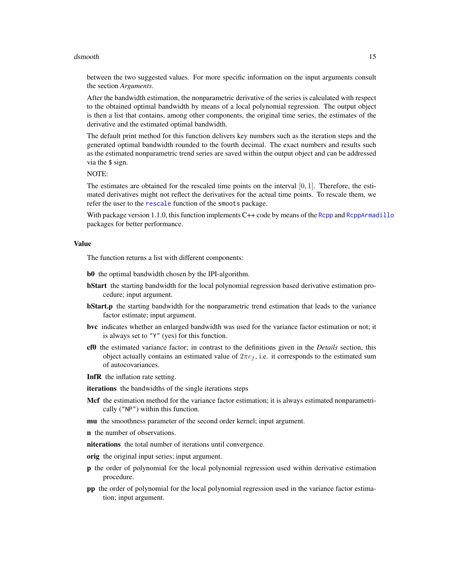#### <span id="page-14-0"></span>dsmooth and the state of the state of the state of the state of the state of the state of the state of the state of the state of the state of the state of the state of the state of the state of the state of the state of th

between the two suggested values. For more specific information on the input arguments consult the section *Arguments*.

After the bandwidth estimation, the nonparametric derivative of the series is calculated with respect to the obtained optimal bandwidth by means of a local polynomial regression. The output object is then a list that contains, among other components, the original time series, the estimates of the derivative and the estimated optimal bandwidth.

The default print method for this function delivers key numbers such as the iteration steps and the generated optimal bandwidth rounded to the fourth decimal. The exact numbers and results such as the estimated nonparametric trend series are saved within the output object and can be addressed via the \$ sign.

NOTE:

The estimates are obtained for the rescaled time points on the interval  $[0, 1]$ . Therefore, the estimated derivatives might not reflect the derivatives for the actual time points. To rescale them, we refer the user to the [rescale](#page-38-1) function of the smoots package.

With package version 1.1.0, this function implements  $C++$  code by means of the [Rcpp](#page-0-0) and [RcppArmadillo](#page-0-0) packages for better performance.

#### Value

The function returns a list with different components:

b0 the optimal bandwidth chosen by the IPI-algorithm.

- **bStart** the starting bandwidth for the local polynomial regression based derivative estimation procedure; input argument.
- **bStart.p** the starting bandwidth for the nonparametric trend estimation that leads to the variance factor estimate; input argument.
- bvc indicates whether an enlarged bandwidth was used for the variance factor estimation or not; it is always set to "Y" (yes) for this function.
- cf0 the estimated variance factor; in contrast to the definitions given in the *Details* section, this object actually contains an estimated value of  $2\pi c_f$ , i.e. it corresponds to the estimated sum of autocovariances.
- InfR the inflation rate setting.
- iterations the bandwidths of the single iterations steps
- Mcf the estimation method for the variance factor estimation; it is always estimated nonparametrically ("NP") within this function.
- mu the smoothness parameter of the second order kernel; input argument.
- n the number of observations.
- niterations the total number of iterations until convergence.
- orig the original input series; input argument.
- p the order of polynomial for the local polynomial regression used within derivative estimation procedure.
- pp the order of polynomial for the local polynomial regression used in the variance factor estimation; input argument.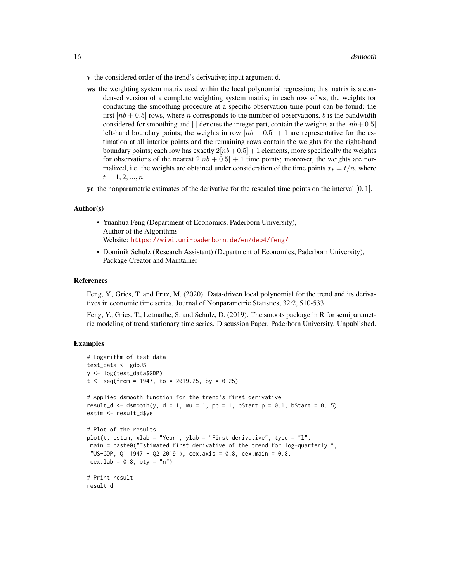- v the considered order of the trend's derivative; input argument d.
- ws the weighting system matrix used within the local polynomial regression; this matrix is a condensed version of a complete weighting system matrix; in each row of ws, the weights for conducting the smoothing procedure at a specific observation time point can be found; the first  $[nb + 0.5]$  rows, where n corresponds to the number of observations, b is the bandwidth considered for smoothing and [.] denotes the integer part, contain the weights at the  $[nb+0.5]$ left-hand boundary points; the weights in row  $[nb + 0.5] + 1$  are representative for the estimation at all interior points and the remaining rows contain the weights for the right-hand boundary points; each row has exactly  $2[nb+0.5] + 1$  elements, more specifically the weights for observations of the nearest  $2[nb + 0.5] + 1$  time points; moreover, the weights are normalized, i.e. the weights are obtained under consideration of the time points  $x_t = t/n$ , where  $t = 1, 2, ..., n$ .
- **ye** the nonparametric estimates of the derivative for the rescaled time points on the interval  $[0, 1]$ .

#### Author(s)

- Yuanhua Feng (Department of Economics, Paderborn University), Author of the Algorithms Website: <https://wiwi.uni-paderborn.de/en/dep4/feng/>
- Dominik Schulz (Research Assistant) (Department of Economics, Paderborn University), Package Creator and Maintainer

#### References

Feng, Y., Gries, T. and Fritz, M. (2020). Data-driven local polynomial for the trend and its derivatives in economic time series. Journal of Nonparametric Statistics, 32:2, 510-533.

Feng, Y., Gries, T., Letmathe, S. and Schulz, D. (2019). The smoots package in R for semiparametric modeling of trend stationary time series. Discussion Paper. Paderborn University. Unpublished.

# Examples

```
# Logarithm of test data
test_data <- gdpUS
y <- log(test_data$GDP)
t \leq -\text{seq}(\text{from} = 1947, \text{to} = 2019.25, \text{by} = 0.25)# Applied dsmooth function for the trend's first derivative
result_d <- dsmooth(y, d = 1, mu = 1, pp = 1, bStart.p = 0.1, bStart = 0.15)
estim <- result_d$ye
# Plot of the results
plot(t, estim, xlab = "Year", ylab = "First derivative", type = "l",
main = paste0("Estimated first derivative of the trend for log-quarterly ",
 "US-GDP, Q1 1947 - Q2 2019"), cex.axis = 0.8, cex.main = 0.8,
cex.lab = 0.8, bty = "n")
# Print result
result_d
```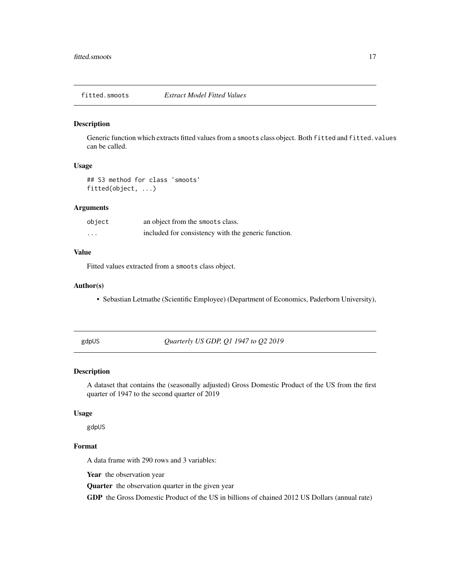<span id="page-16-0"></span>fitted.smoots *Extract Model Fitted Values*

## Description

Generic function which extracts fitted values from a smoots class object. Both fitted and fitted.values can be called.

# Usage

## S3 method for class 'smoots' fitted(object, ...)

# Arguments

| object  | an object from the smoots class.                    |
|---------|-----------------------------------------------------|
| $\cdot$ | included for consistency with the generic function. |

#### Value

Fitted values extracted from a smoots class object.

#### Author(s)

• Sebastian Letmathe (Scientific Employee) (Department of Economics, Paderborn University),

<span id="page-16-1"></span>gdpUS *Quarterly US GDP, Q1 1947 to Q2 2019*

# Description

A dataset that contains the (seasonally adjusted) Gross Domestic Product of the US from the first quarter of 1947 to the second quarter of 2019

#### Usage

gdpUS

# Format

A data frame with 290 rows and 3 variables:

Year the observation year

Quarter the observation quarter in the given year

GDP the Gross Domestic Product of the US in billions of chained 2012 US Dollars (annual rate)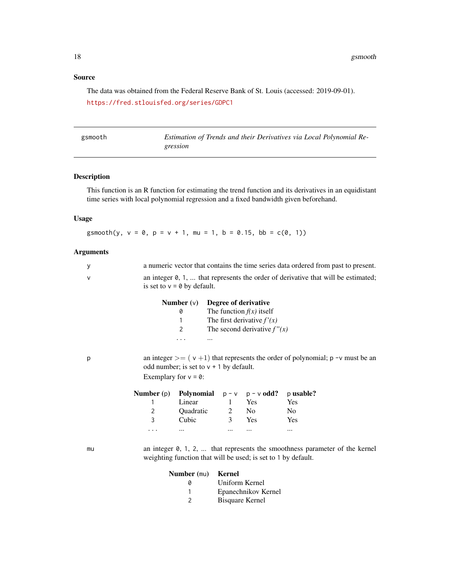# <span id="page-17-0"></span>Source

The data was obtained from the Federal Reserve Bank of St. Louis (accessed: 2019-09-01). <https://fred.stlouisfed.org/series/GDPC1>

<span id="page-17-1"></span>

| gsmooth | Estimation of Trends and their Derivatives via Local Polynomial Re- |
|---------|---------------------------------------------------------------------|
|         |                                                                     |
|         | gression                                                            |
|         |                                                                     |

# Description

This function is an R function for estimating the trend function and its derivatives in an equidistant time series with local polynomial regression and a fixed bandwidth given beforehand.

# Usage

gsmooth(y,  $v = 0$ ,  $p = v + 1$ , mu = 1, b = 0.15, bb = c(0, 1))

# Arguments

| y                                                                                                                                                             |                |                                                                                                                    |                |                                                                                                                      | a numeric vector that contains the time series data ordered from past to present.   |
|---------------------------------------------------------------------------------------------------------------------------------------------------------------|----------------|--------------------------------------------------------------------------------------------------------------------|----------------|----------------------------------------------------------------------------------------------------------------------|-------------------------------------------------------------------------------------|
| V                                                                                                                                                             |                | an integer 0, 1,  that represents the order of derivative that will be estimated;<br>is set to $v = 0$ by default. |                |                                                                                                                      |                                                                                     |
|                                                                                                                                                               |                | Number $(v)$<br>0<br>1<br>2<br>.<br>$\cdots$                                                                       |                | Degree of derivative<br>The function $f(x)$ itself<br>The first derivative $f'(x)$<br>The second derivative $f''(x)$ |                                                                                     |
| an integer $\geq$ (v+1) that represents the order of polynomial; p -v must be an<br>p<br>odd number; is set to $v + 1$ by default.<br>Exemplary for $v = 0$ : |                |                                                                                                                    |                |                                                                                                                      |                                                                                     |
|                                                                                                                                                               | Number $(p)$   | Polynomial                                                                                                         |                | $p - v$ $p - v$ odd?                                                                                                 | p usable?                                                                           |
|                                                                                                                                                               | 1              | Linear                                                                                                             |                | 1 Yes                                                                                                                | Yes                                                                                 |
|                                                                                                                                                               | $\overline{2}$ | Quadratic 2 No                                                                                                     |                |                                                                                                                      | No                                                                                  |
|                                                                                                                                                               | 3              | Cubic                                                                                                              |                | 3 Yes                                                                                                                | Yes                                                                                 |
|                                                                                                                                                               | .              | $\cdots$                                                                                                           | $\cdots$       | $\cdots$                                                                                                             | $\cdots$                                                                            |
| mu                                                                                                                                                            |                | weighting function that will be used; is set to 1 by default.                                                      |                |                                                                                                                      | an integer $0, 1, 2, \ldots$ that represents the smoothness parameter of the kernel |
|                                                                                                                                                               |                | Number (mu)                                                                                                        | <b>Kernel</b>  |                                                                                                                      |                                                                                     |
|                                                                                                                                                               |                | 0                                                                                                                  | Uniform Kernel |                                                                                                                      |                                                                                     |
|                                                                                                                                                               |                | 1                                                                                                                  |                | Epanechnikov Kernel                                                                                                  |                                                                                     |
|                                                                                                                                                               |                | 2                                                                                                                  |                | <b>Bisquare Kernel</b>                                                                                               |                                                                                     |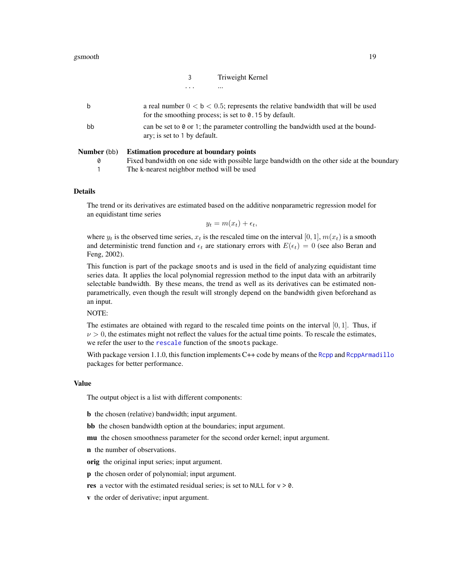|   | Triweight Kernel |
|---|------------------|
| . | $\cdots$         |

<span id="page-18-0"></span>

| <b>Number</b> (bb) | <b>Estimation procedure at boundary points</b>                                                                                                      |
|--------------------|-----------------------------------------------------------------------------------------------------------------------------------------------------|
| bb                 | can be set to $\theta$ or 1; the parameter controlling the bandwidth used at the bound-<br>ary; is set to 1 by default.                             |
| b                  | a real number $0 < b < 0.5$ ; represents the relative bandwidth that will be used<br>for the smoothing process; is set to $\theta$ . 15 by default. |

| Fixed bandwidth on one side with possible large bandwidth on the other side at the boundary |
|---------------------------------------------------------------------------------------------|
| The k-nearest neighbor method will be used                                                  |

# Details

The trend or its derivatives are estimated based on the additive nonparametric regression model for an equidistant time series

$$
y_t = m(x_t) + \epsilon_t,
$$

where  $y_t$  is the observed time series,  $x_t$  is the rescaled time on the interval [0, 1],  $m(x_t)$  is a smooth and deterministic trend function and  $\epsilon_t$  are stationary errors with  $E(\epsilon_t) = 0$  (see also Beran and Feng, 2002).

This function is part of the package smoots and is used in the field of analyzing equidistant time series data. It applies the local polynomial regression method to the input data with an arbitrarily selectable bandwidth. By these means, the trend as well as its derivatives can be estimated nonparametrically, even though the result will strongly depend on the bandwidth given beforehand as an input.

NOTE:

The estimates are obtained with regard to the rescaled time points on the interval  $[0, 1]$ . Thus, if  $\nu > 0$ , the estimates might not reflect the values for the actual time points. To rescale the estimates, we refer the user to the [rescale](#page-38-1) function of the smoots package.

With package version 1.1.0, this function implements C++ code by means of the [Rcpp](#page-0-0) and [RcppArmadillo](#page-0-0) packages for better performance.

#### Value

The output object is a list with different components:

b the chosen (relative) bandwidth; input argument.

bb the chosen bandwidth option at the boundaries; input argument.

mu the chosen smoothness parameter for the second order kernel; input argument.

n the number of observations.

orig the original input series; input argument.

p the chosen order of polynomial; input argument.

res a vector with the estimated residual series; is set to NULL for  $v > 0$ .

v the order of derivative; input argument.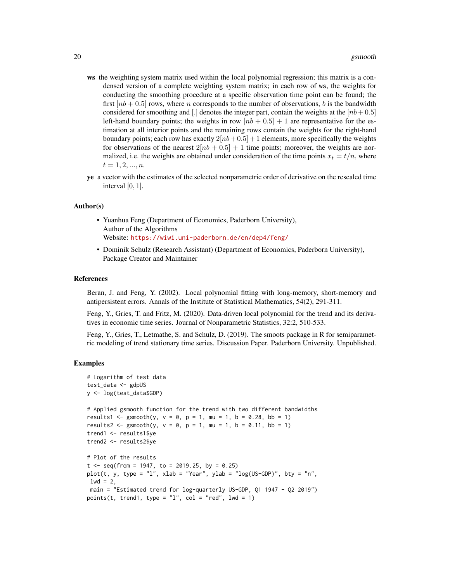- ws the weighting system matrix used within the local polynomial regression; this matrix is a condensed version of a complete weighting system matrix; in each row of ws, the weights for conducting the smoothing procedure at a specific observation time point can be found; the first  $[nb + 0.5]$  rows, where *n* corresponds to the number of observations, *b* is the bandwidth considered for smoothing and [.] denotes the integer part, contain the weights at the  $[nb+0.5]$ left-hand boundary points; the weights in row  $[nb + 0.5] + 1$  are representative for the estimation at all interior points and the remaining rows contain the weights for the right-hand boundary points; each row has exactly  $2[nb+0.5] + 1$  elements, more specifically the weights for observations of the nearest  $2[nb + 0.5] + 1$  time points; moreover, the weights are normalized, i.e. the weights are obtained under consideration of the time points  $x_t = t/n$ , where  $t = 1, 2, ..., n$ .
- ye a vector with the estimates of the selected nonparametric order of derivative on the rescaled time interval  $[0, 1]$ .

#### Author(s)

- Yuanhua Feng (Department of Economics, Paderborn University), Author of the Algorithms Website: <https://wiwi.uni-paderborn.de/en/dep4/feng/>
- Dominik Schulz (Research Assistant) (Department of Economics, Paderborn University), Package Creator and Maintainer

#### References

Beran, J. and Feng, Y. (2002). Local polynomial fitting with long-memory, short-memory and antipersistent errors. Annals of the Institute of Statistical Mathematics, 54(2), 291-311.

Feng, Y., Gries, T. and Fritz, M. (2020). Data-driven local polynomial for the trend and its derivatives in economic time series. Journal of Nonparametric Statistics, 32:2, 510-533.

Feng, Y., Gries, T., Letmathe, S. and Schulz, D. (2019). The smoots package in R for semiparametric modeling of trend stationary time series. Discussion Paper. Paderborn University. Unpublished.

# Examples

```
# Logarithm of test data
test_data <- gdpUS
y <- log(test_data$GDP)
# Applied gsmooth function for the trend with two different bandwidths
results1 <- gsmooth(y, v = 0, p = 1, mu = 1, b = 0.28, bb = 1)
results2 <- gsmooth(y, v = 0, p = 1, mu = 1, b = 0.11, bb = 1)
trend1 <- results1$ye
trend2 <- results2$ye
# Plot of the results
t \leq -\text{seq}(\text{from} = 1947, \text{to} = 2019.25, \text{by} = 0.25)plot(t, y, type = "l", xlab = "Year", ylab = "log(US-GDP)", bty = "n",
1wd = 2,
main = "Estimated trend for log-quarterly US-GDP, Q1 1947 - Q2 2019")
points(t, trend1, type = "1", col = "red", lwd = 1)
```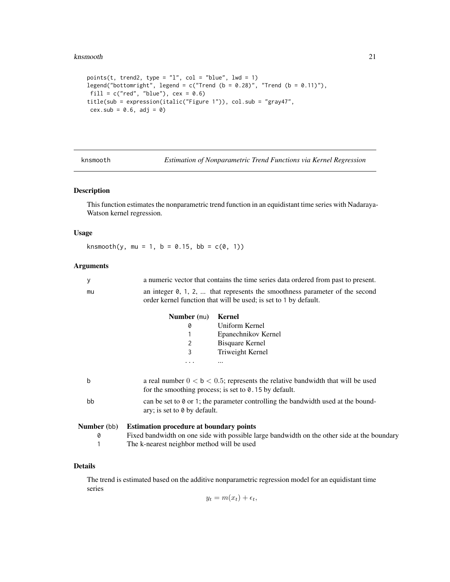#### <span id="page-20-0"></span>knsmooth 21

```
points(t, trend2, type = "l", col = "blue", lw = 1)legend("bottomright", legend = c("Trend (b = 0.28)", "Trend (b = 0.11)"),fill = c("red", "blue"), cex = 0.6)title(sub = expression(italic("Figure 1")), col.sub = "gray47",
cex.sub = 0.6, adj = 0)
```
<span id="page-20-1"></span>knsmooth *Estimation of Nonparametric Trend Functions via Kernel Regression*

# Description

This function estimates the nonparametric trend function in an equidistant time series with Nadaraya-Watson kernel regression.

# Usage

knsmooth(y, mu = 1, b = 0.15, bb =  $c(0, 1)$ )

# Arguments

|    | a numeric vector that contains the time series data ordered from past to present.                                                                          |  |  |
|----|------------------------------------------------------------------------------------------------------------------------------------------------------------|--|--|
| mu | an integer $\emptyset$ , 1, 2,  that represents the smoothness parameter of the second<br>order kernel function that will be used; is set to 1 by default. |  |  |
|    | <b>Number</b> (mu)<br>Kernel                                                                                                                               |  |  |
|    | Uniform Kernel<br>0                                                                                                                                        |  |  |
|    | Epanechnikov Kernel                                                                                                                                        |  |  |
|    | Bisquare Kernel                                                                                                                                            |  |  |

3 Triweight Kernel

... ...

| <b>Number</b> (bb) | <b>Estimation procedure at boundary points</b>                                                                                                      |
|--------------------|-----------------------------------------------------------------------------------------------------------------------------------------------------|
| bb                 | can be set to $\theta$ or 1; the parameter controlling the bandwidth used at the bound-<br>ary; is set to $\theta$ by default.                      |
| b                  | a real number $0 < b < 0.5$ ; represents the relative bandwidth that will be used<br>for the smoothing process; is set to $\theta$ . 15 by default. |

0 Fixed bandwidth on one side with possible large bandwidth on the other side at the boundary

1 The k-nearest neighbor method will be used

# Details

The trend is estimated based on the additive nonparametric regression model for an equidistant time series

$$
y_t = m(x_t) + \epsilon_t,
$$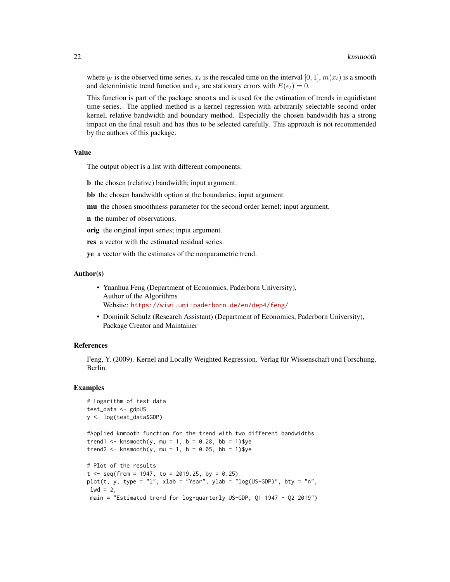where  $y_t$  is the observed time series,  $x_t$  is the rescaled time on the interval [0, 1],  $m(x_t)$  is a smooth and deterministic trend function and  $\epsilon_t$  are stationary errors with  $E(\epsilon_t) = 0$ .

This function is part of the package smoots and is used for the estimation of trends in equidistant time series. The applied method is a kernel regression with arbitrarily selectable second order kernel, relative bandwidth and boundary method. Especially the chosen bandwidth has a strong impact on the final result and has thus to be selected carefully. This approach is not recommended by the authors of this package.

# Value

The output object is a list with different components:

b the chosen (relative) bandwidth; input argument.

bb the chosen bandwidth option at the boundaries; input argument.

mu the chosen smoothness parameter for the second order kernel; input argument.

n the number of observations.

orig the original input series; input argument.

res a vector with the estimated residual series.

ye a vector with the estimates of the nonparametric trend.

## Author(s)

- Yuanhua Feng (Department of Economics, Paderborn University), Author of the Algorithms Website: <https://wiwi.uni-paderborn.de/en/dep4/feng/>
- Dominik Schulz (Research Assistant) (Department of Economics, Paderborn University), Package Creator and Maintainer

# References

Feng, Y. (2009). Kernel and Locally Weighted Regression. Verlag für Wissenschaft und Forschung, Berlin.

# Examples

```
# Logarithm of test data
test_data <- gdpUS
y <- log(test_data$GDP)
#Applied knmooth function for the trend with two different bandwidths
trend1 <- knsmooth(y, mu = 1, b = 0.28, bb = 1)$ye
trend2 <- knsmooth(y, mu = 1, b = 0.05, bb = 1)$ye
# Plot of the results
t < - seq(from = 1947, to = 2019.25, by = 0.25)
plot(t, y, type = "l", xlab = "Year", ylab = "log(US-GDP)", bty = "n",
1wd = 2,
 main = "Estimated trend for log-quarterly US-GDP, Q1 1947 - Q2 2019")
```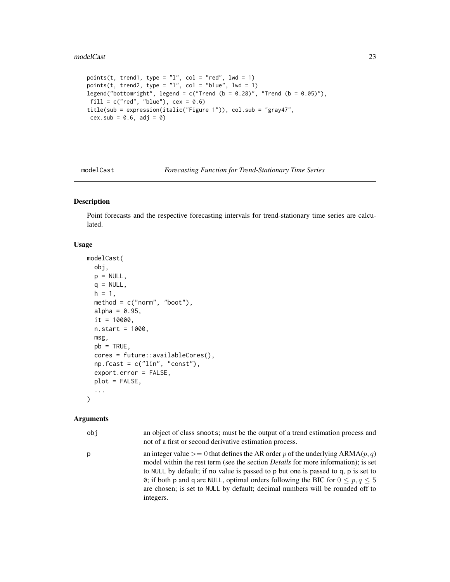#### <span id="page-22-0"></span>modelCast 23

```
points(t, trend1, type = "1", col = "red", lwd = 1)
points(t, trend2, type = "l", col = "blue", lw = 1)legend("bottomright", legend = c("Trend (b = 0.28)", "Trend (b = 0.05)"),fill = c("red", "blue"), cex = 0.6)title(sub = expression(italic("Figure 1")), col.sub = "gray47",
cex.sub = 0.6, adj = 0)
```
<span id="page-22-1"></span>

modelCast *Forecasting Function for Trend-Stationary Time Series*

# Description

Point forecasts and the respective forecasting intervals for trend-stationary time series are calculated.

# Usage

```
modelCast(
  obj,
  p = NULL,q = NULL,h = 1,
  method = c("norm", "boot"),alpha = 0.95,
  it = 10000,
  n.start = 1000,msg,
  pb = TRUE,cores = future::availableCores(),
  np.fcast = c("lin", "const"),
  export.error = FALSE,
  plot = FALSE,
  ...
\lambda
```
# Arguments

obj an object of class smoots; must be the output of a trend estimation process and not of a first or second derivative estimation process.

p an integer value  $> = 0$  that defines the AR order p of the underlying ARMA(p, q) model within the rest term (see the section *Details* for more information); is set to NULL by default; if no value is passed to p but one is passed to q, p is set to 0; if both p and q are NULL, optimal orders following the BIC for  $0 \le p, q \le 5$ are chosen; is set to NULL by default; decimal numbers will be rounded off to integers.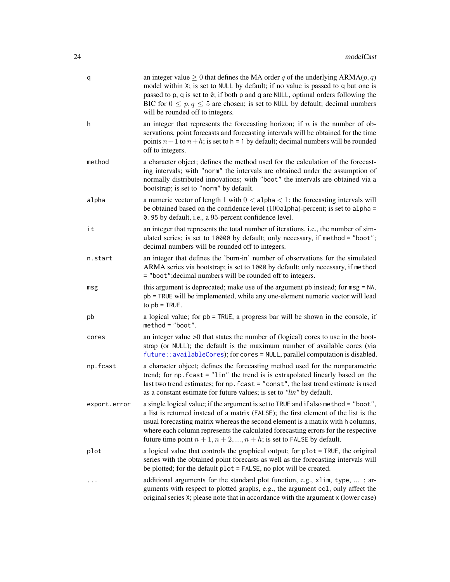<span id="page-23-0"></span>

| q            | an integer value $\geq 0$ that defines the MA order q of the underlying ARMA( $p$ , $q$ )<br>model within X; is set to NULL by default; if no value is passed to q but one is<br>passed to p, q is set to 0; if both p and q are NULL, optimal orders following the<br>BIC for $0 \le p, q \le 5$ are chosen; is set to NULL by default; decimal numbers<br>will be rounded off to integers.                                   |
|--------------|--------------------------------------------------------------------------------------------------------------------------------------------------------------------------------------------------------------------------------------------------------------------------------------------------------------------------------------------------------------------------------------------------------------------------------|
| h            | an integer that represents the forecasting horizon; if $n$ is the number of ob-<br>servations, point forecasts and forecasting intervals will be obtained for the time<br>points $n+1$ to $n+h$ ; is set to h = 1 by default; decimal numbers will be rounded<br>off to integers.                                                                                                                                              |
| method       | a character object; defines the method used for the calculation of the forecast-<br>ing intervals; with "norm" the intervals are obtained under the assumption of<br>normally distributed innovations; with "boot" the intervals are obtained via a<br>bootstrap; is set to "norm" by default.                                                                                                                                 |
| alpha        | a numeric vector of length 1 with $0 < a$ lpha $< 1$ ; the forecasting intervals will<br>be obtained based on the confidence level $(100a1pha)$ -percent; is set to a1pha =<br>0.95 by default, i.e., a 95-percent confidence level.                                                                                                                                                                                           |
| it           | an integer that represents the total number of iterations, i.e., the number of sim-<br>ulated series; is set to 10000 by default; only necessary, if method = "boot";<br>decimal numbers will be rounded off to integers.                                                                                                                                                                                                      |
| n.start      | an integer that defines the 'burn-in' number of observations for the simulated<br>ARMA series via bootstrap; is set to 1000 by default; only necessary, if method<br>= "boot"; decimal numbers will be rounded off to integers.                                                                                                                                                                                                |
| msg          | this argument is deprecated; make use of the argument pb instead; for msg = NA,<br>pb = TRUE will be implemented, while any one-element numeric vector will lead<br>to $pb$ = TRUE.                                                                                                                                                                                                                                            |
| pb           | a logical value; for pb = TRUE, a progress bar will be shown in the console, if<br>$method = "boot".$                                                                                                                                                                                                                                                                                                                          |
| cores        | an integer value $>0$ that states the number of (logical) cores to use in the boot-<br>strap (or NULL); the default is the maximum number of available cores (via<br>future::availableCores); for cores = NULL, parallel computation is disabled.                                                                                                                                                                              |
| np.fcast     | a character object; defines the forecasting method used for the nonparametric<br>trend; for np. fcast = "lin" the trend is is extrapolated linearly based on the<br>last two trend estimates; for np. fcast = "const", the last trend estimate is used<br>as a constant estimate for future values; is set to "lin" by default.                                                                                                |
| export.error | a single logical value; if the argument is set to TRUE and if also method = "boot",<br>a list is returned instead of a matrix (FALSE); the first element of the list is the<br>usual forecasting matrix whereas the second element is a matrix with h columns,<br>where each column represents the calculated forecasting errors for the respective<br>future time point $n + 1, n + 2, , n + h$ ; is set to FALSE by default. |
| plot         | a logical value that controls the graphical output; for plot = TRUE, the original<br>series with the obtained point forecasts as well as the forecasting intervals will<br>be plotted; for the default plot = FALSE, no plot will be created.                                                                                                                                                                                  |
|              | additional arguments for the standard plot function, e.g., x1im, type, ; ar-<br>guments with respect to plotted graphs, e.g., the argument col, only affect the<br>original series X; please note that in accordance with the argument x (lower case)                                                                                                                                                                          |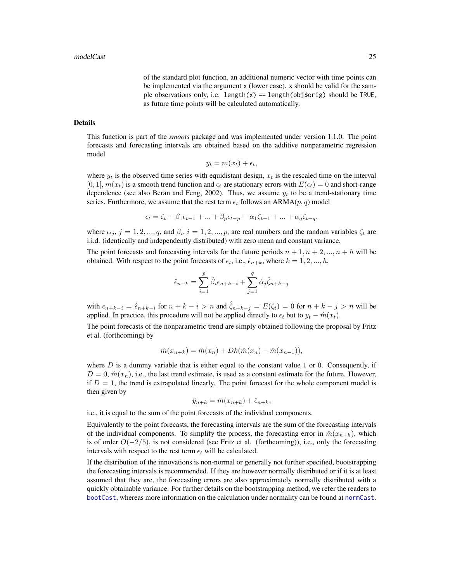of the standard plot function, an additional numeric vector with time points can be implemented via the argument x (lower case). x should be valid for the sample observations only, i.e. length(x) == length(obj\$orig) should be TRUE, as future time points will be calculated automatically.

#### <span id="page-24-0"></span>Details

This function is part of the *smoots* package and was implemented under version 1.1.0. The point forecasts and forecasting intervals are obtained based on the additive nonparametric regression model

$$
y_t = m(x_t) + \epsilon_t,
$$

where  $y_t$  is the observed time series with equidistant design,  $x_t$  is the rescaled time on the interval  $[0, 1], m(x_t)$  is a smooth trend function and  $\epsilon_t$  are stationary errors with  $E(\epsilon_t) = 0$  and short-range dependence (see also Beran and Feng, 2002). Thus, we assume  $y_t$  to be a trend-stationary time series. Furthermore, we assume that the rest term  $\epsilon_t$  follows an ARMA( $p, q$ ) model

$$
\epsilon_t = \zeta_t + \beta_1 \epsilon_{t-1} + \dots + \beta_p \epsilon_{t-p} + \alpha_1 \zeta_{t-1} + \dots + \alpha_q \zeta_{t-q},
$$

where  $\alpha_j$ ,  $j = 1, 2, ..., q$ , and  $\beta_i$ ,  $i = 1, 2, ..., p$ , are real numbers and the random variables  $\zeta_t$  are i.i.d. (identically and independently distributed) with zero mean and constant variance.

The point forecasts and forecasting intervals for the future periods  $n + 1, n + 2, ..., n + h$  will be obtained. With respect to the point forecasts of  $\epsilon_t$ , i.e.,  $\hat{\epsilon}_{n+k}$ , where  $k = 1, 2, ..., h$ ,

$$
\hat{\epsilon}_{n+k} = \sum_{i=1}^{p} \hat{\beta}_i \epsilon_{n+k-i} + \sum_{j=1}^{q} \hat{\alpha}_j \hat{\zeta}_{n+k-j}
$$

with  $\epsilon_{n+k-i} = \hat{\epsilon}_{n+k-i}$  for  $n+k-i > n$  and  $\hat{\zeta}_{n+k-j} = E(\zeta_t) = 0$  for  $n+k-j > n$  will be applied. In practice, this procedure will not be applied directly to  $\epsilon_t$  but to  $y_t - \hat{m}(x_t)$ .

The point forecasts of the nonparametric trend are simply obtained following the proposal by Fritz et al. (forthcoming) by

$$
\hat{m}(x_{n+k}) = \hat{m}(x_n) + Dk(\hat{m}(x_n) - \hat{m}(x_{n-1})),
$$

where  $D$  is a dummy variable that is either equal to the constant value 1 or 0. Consequently, if  $D = 0$ ,  $\hat{m}(x_n)$ , i.e., the last trend estimate, is used as a constant estimate for the future. However, if  $D = 1$ , the trend is extrapolated linearly. The point forecast for the whole component model is then given by

$$
\hat{y}_{n+k} = \hat{m}(x_{n+k}) + \hat{\epsilon}_{n+k},
$$

i.e., it is equal to the sum of the point forecasts of the individual components.

Equivalently to the point forecasts, the forecasting intervals are the sum of the forecasting intervals of the individual components. To simplify the process, the forecasting error in  $\hat{m}(x_{n+k})$ , which is of order  $O(-2/5)$ , is not considered (see Fritz et al. (forthcoming)), i.e., only the forecasting intervals with respect to the rest term  $\epsilon_t$  will be calculated.

If the distribution of the innovations is non-normal or generally not further specified, bootstrapping the forecasting intervals is recommended. If they are however normally distributed or if it is at least assumed that they are, the forecasting errors are also approximately normally distributed with a quickly obtainable variance. For further details on the bootstrapping method, we refer the readers to [bootCast](#page-1-1), whereas more information on the calculation under normality can be found at [normCast](#page-32-1).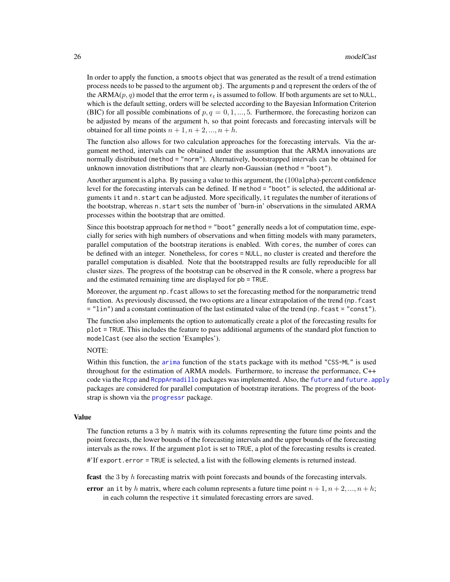<span id="page-25-0"></span>In order to apply the function, a smoots object that was generated as the result of a trend estimation process needs to be passed to the argument obj. The arguments p and q represent the orders of the of the ARMA(p, q) model that the error term  $\epsilon_t$  is assumed to follow. If both arguments are set to NULL, which is the default setting, orders will be selected according to the Bayesian Information Criterion (BIC) for all possible combinations of  $p, q = 0, 1, ..., 5$ . Furthermore, the forecasting horizon can be adjusted by means of the argument h, so that point forecasts and forecasting intervals will be obtained for all time points  $n + 1, n + 2, ..., n + h$ .

The function also allows for two calculation approaches for the forecasting intervals. Via the argument method, intervals can be obtained under the assumption that the ARMA innovations are normally distributed (method = "norm"). Alternatively, bootstrapped intervals can be obtained for unknown innovation distributions that are clearly non-Gaussian (method = "boot").

Another argument is alpha. By passing a value to this argument, the (100alpha)-percent confidence level for the forecasting intervals can be defined. If method = "boot" is selected, the additional arguments it and n.start can be adjusted. More specifically, it regulates the number of iterations of the bootstrap, whereas n.start sets the number of 'burn-in' observations in the simulated ARMA processes within the bootstrap that are omitted.

Since this bootstrap approach for method = "boot" generally needs a lot of computation time, especially for series with high numbers of observations and when fitting models with many parameters, parallel computation of the bootstrap iterations is enabled. With cores, the number of cores can be defined with an integer. Nonetheless, for cores = NULL, no cluster is created and therefore the parallel computation is disabled. Note that the bootstrapped results are fully reproducible for all cluster sizes. The progress of the bootstrap can be observed in the R console, where a progress bar and the estimated remaining time are displayed for pb = TRUE.

Moreover, the argument np.fcast allows to set the forecasting method for the nonparametric trend function. As previously discussed, the two options are a linear extrapolation of the trend (np.fcast  $=$  "lin") and a constant continuation of the last estimated value of the trend (np. f cast = "const").

The function also implements the option to automatically create a plot of the forecasting results for plot = TRUE. This includes the feature to pass additional arguments of the standard plot function to modelCast (see also the section 'Examples').

#### NOTE:

Within this function, the [arima](#page-0-0) function of the stats package with its method "CSS-ML" is used throughout for the estimation of ARMA models. Furthermore, to increase the performance, C++ code via the [Rcpp](#page-0-0) and [RcppArmadillo](#page-0-0) packages was implemented. Also, the [future](#page-0-0) and [future.apply](#page-0-0) packages are considered for parallel computation of bootstrap iterations. The progress of the bootstrap is shown via the **[progressr](#page-0-0)** package.

# Value

The function returns a 3 by h matrix with its columns representing the future time points and the point forecasts, the lower bounds of the forecasting intervals and the upper bounds of the forecasting intervals as the rows. If the argument plot is set to TRUE, a plot of the forecasting results is created.

#'If export.error = TRUE is selected, a list with the following elements is returned instead.

fcast the 3 by h forecasting matrix with point forecasts and bounds of the forecasting intervals.

error an it by h matrix, where each column represents a future time point  $n + 1, n + 2, ..., n + h$ ; in each column the respective it simulated forecasting errors are saved.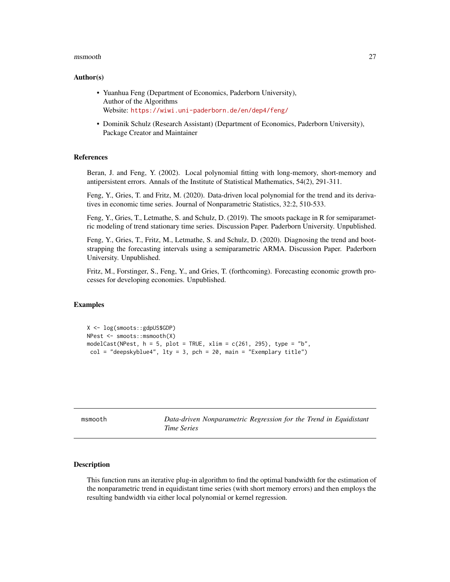#### <span id="page-26-0"></span>msmooth 27

#### Author(s)

- Yuanhua Feng (Department of Economics, Paderborn University), Author of the Algorithms Website: <https://wiwi.uni-paderborn.de/en/dep4/feng/>
- Dominik Schulz (Research Assistant) (Department of Economics, Paderborn University), Package Creator and Maintainer

# References

Beran, J. and Feng, Y. (2002). Local polynomial fitting with long-memory, short-memory and antipersistent errors. Annals of the Institute of Statistical Mathematics, 54(2), 291-311.

Feng, Y., Gries, T. and Fritz, M. (2020). Data-driven local polynomial for the trend and its derivatives in economic time series. Journal of Nonparametric Statistics, 32:2, 510-533.

Feng, Y., Gries, T., Letmathe, S. and Schulz, D. (2019). The smoots package in R for semiparametric modeling of trend stationary time series. Discussion Paper. Paderborn University. Unpublished.

Feng, Y., Gries, T., Fritz, M., Letmathe, S. and Schulz, D. (2020). Diagnosing the trend and bootstrapping the forecasting intervals using a semiparametric ARMA. Discussion Paper. Paderborn University. Unpublished.

Fritz, M., Forstinger, S., Feng, Y., and Gries, T. (forthcoming). Forecasting economic growth processes for developing economies. Unpublished.

#### Examples

```
X <- log(smoots::gdpUS$GDP)
NPest <- smoots::msmooth(X)
modelCast(NPest, h = 5, plot = TRUE, xlim = c(261, 295), type = "b",
col = "deepskyblue4", lty = 3, pch = 20, main = "Exemplary title")
```
<span id="page-26-1"></span>

| msmooth |
|---------|
|---------|

Data-driven Nonparametric Regression for the Trend in Equidistant *Time Series*

# Description

This function runs an iterative plug-in algorithm to find the optimal bandwidth for the estimation of the nonparametric trend in equidistant time series (with short memory errors) and then employs the resulting bandwidth via either local polynomial or kernel regression.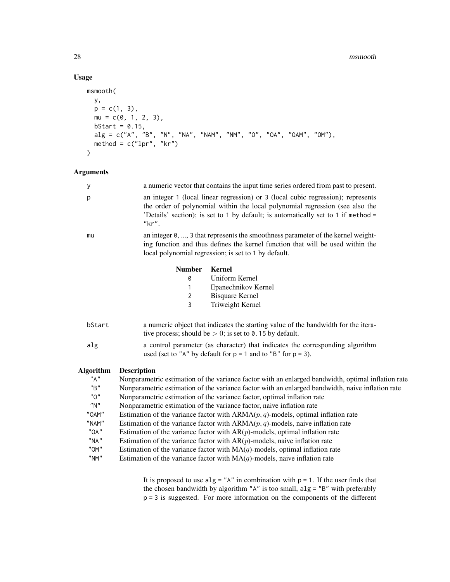#### 28 msmooth

# Usage

```
msmooth(
 y,
 p = c(1, 3),
 mu = c(0, 1, 2, 3),bStart = 0.15,
  alg = c("A", "B", "N", "NA", "NAM", "NM", "O", "OA", "OAM", "OM"),
  method = c("lpr", "kr")
\mathcal{L}
```
# Arguments

| у                                      | a numeric vector that contains the input time series ordered from past to present.                                                                                                                                                                             |  |  |
|----------------------------------------|----------------------------------------------------------------------------------------------------------------------------------------------------------------------------------------------------------------------------------------------------------------|--|--|
| р                                      | an integer 1 (local linear regression) or 3 (local cubic regression); represents<br>the order of polynomial within the local polynomial regression (see also the<br>'Details' section); is set to 1 by default; is automatically set to 1 if method =<br>"kr". |  |  |
| mu                                     | an integer 0, , 3 that represents the smoothness parameter of the kernel weight-<br>ing function and thus defines the kernel function that will be used within the<br>local polynomial regression; is set to 1 by default.                                     |  |  |
|                                        | <b>Kernel</b><br><b>Number</b>                                                                                                                                                                                                                                 |  |  |
|                                        | Uniform Kernel<br>0                                                                                                                                                                                                                                            |  |  |
|                                        | Epanechnikov Kernel<br>1                                                                                                                                                                                                                                       |  |  |
|                                        | <b>Bisquare Kernel</b><br>2                                                                                                                                                                                                                                    |  |  |
|                                        | 3<br>Triweight Kernel                                                                                                                                                                                                                                          |  |  |
| bStart                                 | a numeric object that indicates the starting value of the bandwidth for the itera-<br>tive process; should be $> 0$ ; is set to 0.15 by default.                                                                                                               |  |  |
| alg                                    | a control parameter (as character) that indicates the corresponding algorithm<br>used (set to "A" by default for $p = 1$ and to "B" for $p = 3$ ).                                                                                                             |  |  |
| <b>Algorithm</b>                       | <b>Description</b>                                                                                                                                                                                                                                             |  |  |
| "A"                                    | Nonparametric estimation of the variance factor with an enlarged bandwidth, optimal inflation rate                                                                                                                                                             |  |  |
| "B"                                    | Nonparametric estimation of the variance factor with an enlarged bandwidth, naive inflation rate                                                                                                                                                               |  |  |
| "0"                                    | Nonparametric estimation of the variance factor, optimal inflation rate                                                                                                                                                                                        |  |  |
| "N"                                    | Nonparametric estimation of the variance factor, naive inflation rate                                                                                                                                                                                          |  |  |
| "OAM"                                  | Estimation of the variance factor with $ARMA(p, q)$ -models, optimal inflation rate                                                                                                                                                                            |  |  |
| "NAM"                                  | Estimation of the variance factor with $ARMA(p, q)$ -models, naive inflation rate                                                                                                                                                                              |  |  |
| "OA"                                   | Estimation of the variance factor with $AR(p)$ -models, optimal inflation rate                                                                                                                                                                                 |  |  |
| $"$ NA"                                | Estimation of the variance factor with $AR(p)$ -models, naive inflation rate                                                                                                                                                                                   |  |  |
| "OM"                                   | Estimation of the variance factor with $MA(q)$ -models, optimal inflation rate                                                                                                                                                                                 |  |  |
| $^{\prime\prime}$ NM $^{\prime\prime}$ | Estimation of the variance factor with $MA(q)$ -models, naive inflation rate                                                                                                                                                                                   |  |  |
|                                        |                                                                                                                                                                                                                                                                |  |  |

It is proposed to use  $alg = "A"$  in combination with  $p = 1$ . If the user finds that the chosen bandwidth by algorithm "A" is too small, alg = "B" with preferably p = 3 is suggested. For more information on the components of the different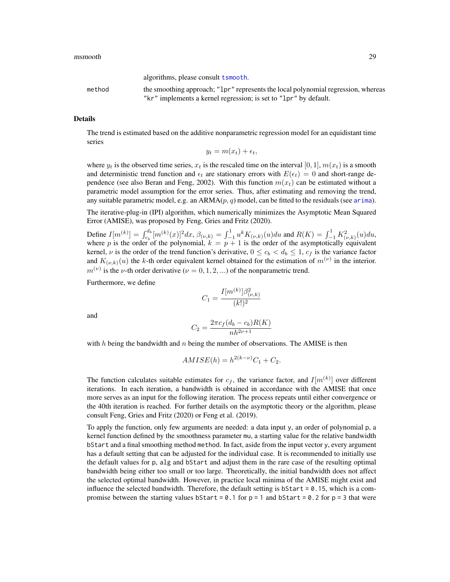#### <span id="page-28-0"></span>msmooth 29

algorithms, please consult [tsmooth](#page-50-1). method the smoothing approach; "lpr" represents the local polynomial regression, whereas

"kr" implements a kernel regression; is set to "lpr" by default.

#### Details

The trend is estimated based on the additive nonparametric regression model for an equidistant time series

$$
y_t = m(x_t) + \epsilon_t,
$$

where  $y_t$  is the observed time series,  $x_t$  is the rescaled time on the interval [0, 1],  $m(x_t)$  is a smooth and deterministic trend function and  $\epsilon_t$  are stationary errors with  $E(\epsilon_t) = 0$  and short-range dependence (see also Beran and Feng, 2002). With this function  $m(x_t)$  can be estimated without a parametric model assumption for the error series. Thus, after estimating and removing the trend, any suitable parametric model, e.g. an  $ARMA(p, q)$  model, can be fitted to the residuals (see [arima](#page-0-0)).

The iterative-plug-in (IPI) algorithm, which numerically minimizes the Asymptotic Mean Squared Error (AMISE), was proposed by Feng, Gries and Fritz (2020).

Define  $I[m^{(k)}] = \int_{c_b}^{d_b} [m^{(k)}(x)]^2 dx$ ,  $\beta_{(\nu,k)} = \int_{-1}^{1} u^k K_{(\nu,k)}(u) du$  and  $R(K) = \int_{-1}^{1} K_{(\nu,k)}^2(u) du$ , where p is the order of the polynomial,  $k = p + 1$  is the order of the asymptotically equivalent kernel,  $\nu$  is the order of the trend function's derivative,  $0 \le c_b < d_b \le 1$ ,  $c_f$  is the variance factor and  $K_{(\nu,k)}(u)$  the k-th order equivalent kernel obtained for the estimation of  $m^{(\nu)}$  in the interior.  $m^{(\nu)}$  is the *ν*-th order derivative ( $\nu = 0, 1, 2, ...$ ) of the nonparametric trend.

Furthermore, we define

$$
C_1 = \frac{I[m^{(k)}]\beta_{(\nu,k)}^2}{(k!)^2}
$$

and

$$
C_2 = \frac{2\pi c_f (d_b - c_b)R(K)}{nh^{2\nu + 1}}
$$

with  $h$  being the bandwidth and  $n$  being the number of observations. The AMISE is then

$$
AMISE(h) = h^{2(k-\nu)}C_1 + C_2.
$$

The function calculates suitable estimates for  $c_f$ , the variance factor, and  $I[m^{(k)}]$  over different iterations. In each iteration, a bandwidth is obtained in accordance with the AMISE that once more serves as an input for the following iteration. The process repeats until either convergence or the 40th iteration is reached. For further details on the asymptotic theory or the algorithm, please consult Feng, Gries and Fritz (2020) or Feng et al. (2019).

To apply the function, only few arguments are needed: a data input y, an order of polynomial p, a kernel function defined by the smoothness parameter mu, a starting value for the relative bandwidth bStart and a final smoothing method method. In fact, aside from the input vector y, every argument has a default setting that can be adjusted for the individual case. It is recommended to initially use the default values for p, alg and bStart and adjust them in the rare case of the resulting optimal bandwidth being either too small or too large. Theoretically, the initial bandwidth does not affect the selected optimal bandwidth. However, in practice local minima of the AMISE might exist and influence the selected bandwidth. Therefore, the default setting is b $Start = 0.15$ , which is a compromise between the starting values bStart =  $0.1$  for  $p = 1$  and bStart =  $0.2$  for  $p = 3$  that were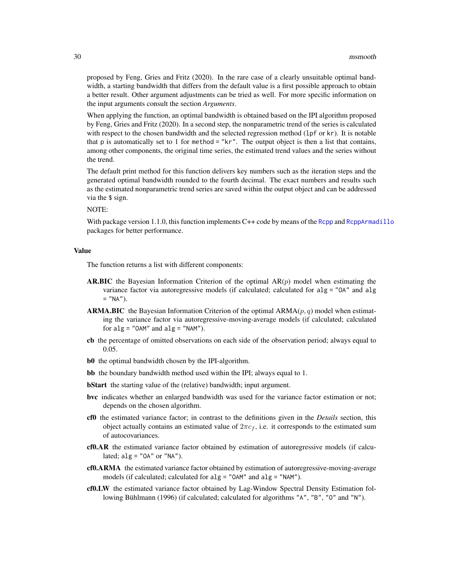proposed by Feng, Gries and Fritz (2020). In the rare case of a clearly unsuitable optimal bandwidth, a starting bandwidth that differs from the default value is a first possible approach to obtain a better result. Other argument adjustments can be tried as well. For more specific information on the input arguments consult the section *Arguments*.

When applying the function, an optimal bandwidth is obtained based on the IPI algorithm proposed by Feng, Gries and Fritz (2020). In a second step, the nonparametric trend of the series is calculated with respect to the chosen bandwidth and the selected regression method (1pf or kr). It is notable that p is automatically set to 1 for method  $=$  "kr". The output object is then a list that contains, among other components, the original time series, the estimated trend values and the series without the trend.

The default print method for this function delivers key numbers such as the iteration steps and the generated optimal bandwidth rounded to the fourth decimal. The exact numbers and results such as the estimated nonparametric trend series are saved within the output object and can be addressed via the \$ sign.

NOTE:

With package version 1.1.0, this function implements C++ code by means of the [Rcpp](#page-0-0) and [RcppArmadillo](#page-0-0) packages for better performance.

# Value

The function returns a list with different components:

- **AR.BIC** the Bayesian Information Criterion of the optimal  $AR(p)$  model when estimating the variance factor via autoregressive models (if calculated; calculated for alg = "OA" and alg  $=$  "NA").
- **ARMA.BIC** the Bayesian Information Criterion of the optimal  $ARMA(p, q)$  model when estimating the variance factor via autoregressive-moving-average models (if calculated; calculated for  $alg = "OAM"$  and  $alg = "NAM".$
- cb the percentage of omitted observations on each side of the observation period; always equal to 0.05.
- b0 the optimal bandwidth chosen by the IPI-algorithm.
- bb the boundary bandwidth method used within the IPI; always equal to 1.
- bStart the starting value of the (relative) bandwidth; input argument.
- bvc indicates whether an enlarged bandwidth was used for the variance factor estimation or not; depends on the chosen algorithm.
- cf0 the estimated variance factor; in contrast to the definitions given in the *Details* section, this object actually contains an estimated value of  $2\pi c_f$ , i.e. it corresponds to the estimated sum of autocovariances.
- cf0.AR the estimated variance factor obtained by estimation of autoregressive models (if calculated;  $alg = "OA"$  or "NA").
- cf0.ARMA the estimated variance factor obtained by estimation of autoregressive-moving-average models (if calculated; calculated for alg = "OAM" and alg = "NAM").
- cf0.LW the estimated variance factor obtained by Lag-Window Spectral Density Estimation following Bühlmann (1996) (if calculated; calculated for algorithms "A", "B", "O" and "N").

<span id="page-29-0"></span>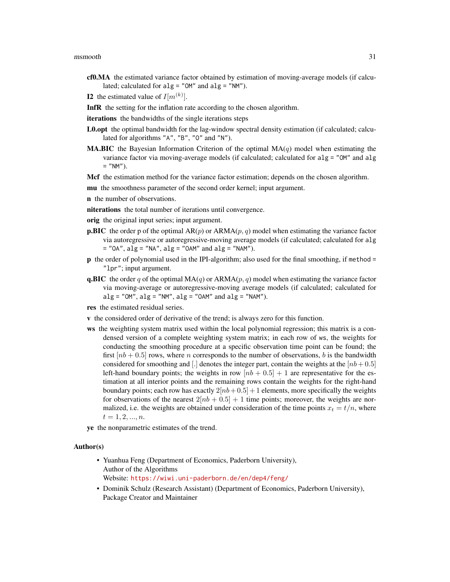- cf0.MA the estimated variance factor obtained by estimation of moving-average models (if calculated; calculated for  $alg = "OM"$  and  $alg = "NM"$ ).
- **I2** the estimated value of  $I[m^{(k)}]$ .
- InfR the setting for the inflation rate according to the chosen algorithm.
- iterations the bandwidths of the single iterations steps
- L0.opt the optimal bandwidth for the lag-window spectral density estimation (if calculated; calculated for algorithms "A", "B", "O" and "N").
- **MA.BIC** the Bayesian Information Criterion of the optimal  $MA(q)$  model when estimating the variance factor via moving-average models (if calculated; calculated for alg = "OM" and alg  $=$  "NM").

Mcf the estimation method for the variance factor estimation; depends on the chosen algorithm.

mu the smoothness parameter of the second order kernel; input argument.

- n the number of observations.
- niterations the total number of iterations until convergence.
- orig the original input series; input argument.
- **p.BIC** the order p of the optimal  $AR(p)$  or  $ARMA(p, q)$  model when estimating the variance factor via autoregressive or autoregressive-moving average models (if calculated; calculated for alg  $=$  "OA", alg  $=$  "NA", alg  $=$  "OAM" and alg  $=$  "NAM").
- p the order of polynomial used in the IPI-algorithm; also used for the final smoothing, if method = "lpr"; input argument.
- **q.BIC** the order q of the optimal  $MA(q)$  or  $ARMA(p, q)$  model when estimating the variance factor via moving-average or autoregressive-moving average models (if calculated; calculated for  $alg = "OM", alg = "NM", alg = "OAM" and alg = "NAM").$
- res the estimated residual series.
- v the considered order of derivative of the trend; is always zero for this function.
- ws the weighting system matrix used within the local polynomial regression; this matrix is a condensed version of a complete weighting system matrix; in each row of ws, the weights for conducting the smoothing procedure at a specific observation time point can be found; the first  $[nb + 0.5]$  rows, where *n* corresponds to the number of observations, *b* is the bandwidth considered for smoothing and [.] denotes the integer part, contain the weights at the  $[nb+0.5]$ left-hand boundary points; the weights in row  $[nb + 0.5] + 1$  are representative for the estimation at all interior points and the remaining rows contain the weights for the right-hand boundary points; each row has exactly  $2[nb+0.5] + 1$  elements, more specifically the weights for observations of the nearest  $2[nb + 0.5] + 1$  time points; moreover, the weights are normalized, i.e. the weights are obtained under consideration of the time points  $x_t = t/n$ , where  $t = 1, 2, ..., n$ .

ye the nonparametric estimates of the trend.

#### Author(s)

- Yuanhua Feng (Department of Economics, Paderborn University), Author of the Algorithms Website: <https://wiwi.uni-paderborn.de/en/dep4/feng/>
- Dominik Schulz (Research Assistant) (Department of Economics, Paderborn University), Package Creator and Maintainer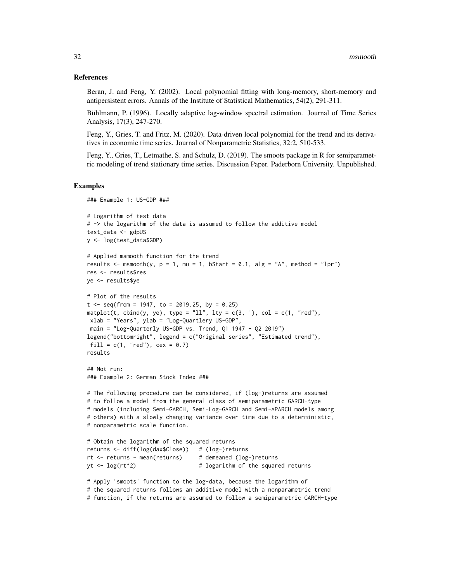#### References

Beran, J. and Feng, Y. (2002). Local polynomial fitting with long-memory, short-memory and antipersistent errors. Annals of the Institute of Statistical Mathematics, 54(2), 291-311.

Bühlmann, P. (1996). Locally adaptive lag-window spectral estimation. Journal of Time Series Analysis, 17(3), 247-270.

Feng, Y., Gries, T. and Fritz, M. (2020). Data-driven local polynomial for the trend and its derivatives in economic time series. Journal of Nonparametric Statistics, 32:2, 510-533.

Feng, Y., Gries, T., Letmathe, S. and Schulz, D. (2019). The smoots package in R for semiparametric modeling of trend stationary time series. Discussion Paper. Paderborn University. Unpublished.

# Examples

```
### Example 1: US-GDP ###
# Logarithm of test data
# -> the logarithm of the data is assumed to follow the additive model
test_data <- gdpUS
y <- log(test_data$GDP)
# Applied msmooth function for the trend
results \leq msmooth(y, p = 1, mu = 1, bStart = 0.1, alg = "A", method = "lpr")
res <- results$res
ye <- results$ye
# Plot of the results
t \leq - seq(from = 1947, to = 2019.25, by = 0.25)
matplot(t, cbind(y, ye), type = "ll", lty = c(3, 1), col = c(1, "red"),
 xlab = "Years", ylab = "Log-Quartlery US-GDP",
 main = "Log-Quarterly US-GDP vs. Trend, Q1 1947 - Q2 2019")
legend("bottomright", legend = c("Original series", "Estimated trend"),
 fill = c(1, "red"), cex = 0.7)
results
## Not run:
### Example 2: German Stock Index ###
# The following procedure can be considered, if (log-)returns are assumed
# to follow a model from the general class of semiparametric GARCH-type
# models (including Semi-GARCH, Semi-Log-GARCH and Semi-APARCH models among
# others) with a slowly changing variance over time due to a deterministic,
# nonparametric scale function.
# Obtain the logarithm of the squared returns
returns <- diff(log(dax$Close)) # (log-)returns
rt <- returns - mean(returns) # demeaned (log-)returns
yt \langle -1 \text{log}(\text{rt}^2) # logarithm of the squared returns
# Apply 'smoots' function to the log-data, because the logarithm of
# the squared returns follows an additive model with a nonparametric trend
# function, if the returns are assumed to follow a semiparametric GARCH-type
```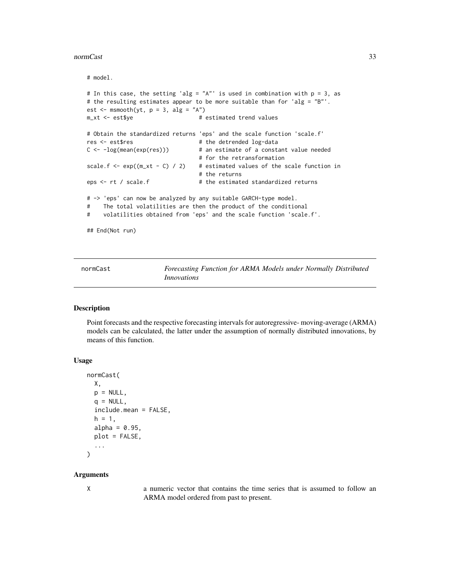#### <span id="page-32-0"></span>normCast 33

# model.

```
# In this case, the setting 'alg = "A"' is used in combination with p = 3, as
# the resulting estimates appear to be more suitable than for 'alg = "B"'.
est \leftarrow msmooth(yt, p = 3, alg = "A")
m_xt <- est$ye # estimated trend values
# Obtain the standardized returns 'eps' and the scale function 'scale.f'
res <- est$res # the detrended log-data
C \leftarrow -\log(\text{mean}(\exp(\text{res}))) # an estimate of a constant value needed
                                # for the retransformation
scale.f <- exp((m_xt - C) / 2) # estimated values of the scale function in
                                # the returns
eps <- rt / scale.f # the estimated standardized returns
# -> 'eps' can now be analyzed by any suitable GARCH-type model.
# The total volatilities are then the product of the conditional
# volatilities obtained from 'eps' and the scale function 'scale.f'.
## End(Not run)
```
<span id="page-32-1"></span>normCast *Forecasting Function for ARMA Models under Normally Distributed Innovations*

# **Description**

Point forecasts and the respective forecasting intervals for autoregressive- moving-average (ARMA) models can be calculated, the latter under the assumption of normally distributed innovations, by means of this function.

#### Usage

```
normCast(
  X,
 p = NULL,q = NULL,
  include.mean = FALSE,
  h = 1,
  alpha = 0.95,
  plot = FALSE,
  ...
\lambda
```
# Arguments

X a numeric vector that contains the time series that is assumed to follow an ARMA model ordered from past to present.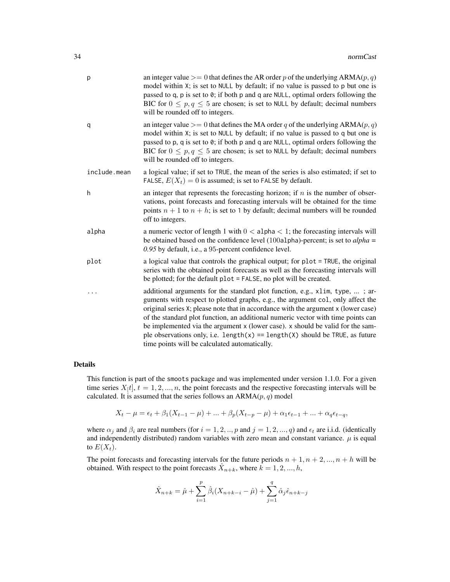| р            | an integer value $\geq$ 0 that defines the AR order p of the underlying ARMA(p, q)<br>model within X; is set to NULL by default; if no value is passed to p but one is<br>passed to q, p is set to 0; if both p and q are NULL, optimal orders following the<br>BIC for $0 \le p, q \le 5$ are chosen; is set to NULL by default; decimal numbers<br>will be rounded off to integers.                                                                                                                                                                          |
|--------------|----------------------------------------------------------------------------------------------------------------------------------------------------------------------------------------------------------------------------------------------------------------------------------------------------------------------------------------------------------------------------------------------------------------------------------------------------------------------------------------------------------------------------------------------------------------|
| q            | an integer value $\geq$ 0 that defines the MA order q of the underlying ARMA(p, q)<br>model within X; is set to NULL by default; if no value is passed to q but one is<br>passed to p, q is set to 0; if both p and q are NULL, optimal orders following the<br>BIC for $0 \le p, q \le 5$ are chosen; is set to NULL by default; decimal numbers<br>will be rounded off to integers.                                                                                                                                                                          |
| include.mean | a logical value; if set to TRUE, the mean of the series is also estimated; if set to<br>FALSE, $E(X_t) = 0$ is assumed; is set to FALSE by default.                                                                                                                                                                                                                                                                                                                                                                                                            |
| h            | an integer that represents the forecasting horizon; if $n$ is the number of obser-<br>vations, point forecasts and forecasting intervals will be obtained for the time<br>points $n + 1$ to $n + h$ ; is set to 1 by default; decimal numbers will be rounded<br>off to integers.                                                                                                                                                                                                                                                                              |
| alpha        | a numeric vector of length 1 with $0 <$ alpha $<$ 1; the forecasting intervals will<br>be obtained based on the confidence level (100a1pha)-percent; is set to $alpha =$<br>0.95 by default, i.e., a 95-percent confidence level.                                                                                                                                                                                                                                                                                                                              |
| plot         | a logical value that controls the graphical output; for plot = TRUE, the original<br>series with the obtained point forecasts as well as the forecasting intervals will<br>be plotted; for the default $plot = FALSE$ , no plot will be created.                                                                                                                                                                                                                                                                                                               |
|              | additional arguments for the standard plot function, e.g., x1im, type, ; ar-<br>guments with respect to plotted graphs, e.g., the argument col, only affect the<br>original series X; please note that in accordance with the argument x (lower case)<br>of the standard plot function, an additional numeric vector with time points can<br>be implemented via the argument x (lower case). x should be valid for the sam-<br>ple observations only, i.e. $length(x) == length(X)$ should be TRUE, as future<br>time points will be calculated automatically. |

# Details

This function is part of the smoots package and was implemented under version 1.1.0. For a given time series  $X[t]$ ,  $t = 1, 2, ..., n$ , the point forecasts and the respective forecasting intervals will be calculated. It is assumed that the series follows an  $ARMA(p, q)$  model

$$
X_t - \mu = \epsilon_t + \beta_1 (X_{t-1} - \mu) + \dots + \beta_p (X_{t-p} - \mu) + \alpha_1 \epsilon_{t-1} + \dots + \alpha_q \epsilon_{t-q},
$$

where  $\alpha_j$  and  $\beta_i$  are real numbers (for  $i = 1, 2, ..., p$  and  $j = 1, 2, ..., q$ ) and  $\epsilon_t$  are i.i.d. (identically and independently distributed) random variables with zero mean and constant variance.  $\mu$  is equal to  $E(X_t)$ .

The point forecasts and forecasting intervals for the future periods  $n + 1, n + 2, ..., n + h$  will be obtained. With respect to the point forecasts  $\hat{X}_{n+k}$ , where  $\hat{k} = 1, 2, ..., h$ ,

$$
\hat{X}_{n+k} = \hat{\mu} + \sum_{i=1}^{p} \hat{\beta}_i (X_{n+k-i} - \hat{\mu}) + \sum_{j=1}^{q} \hat{\alpha}_j \hat{\epsilon}_{n+k-j}
$$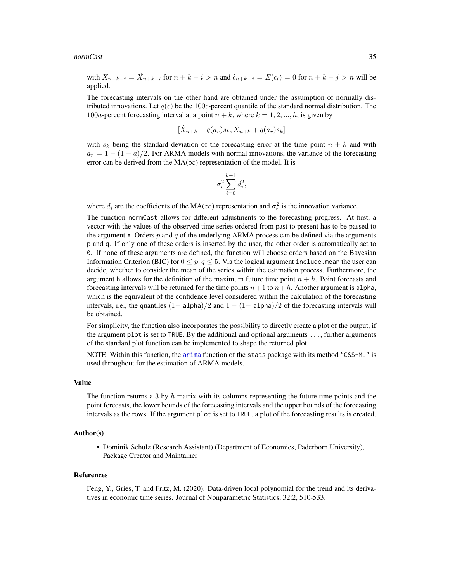#### <span id="page-34-0"></span>normCast 35

with  $X_{n+k-i} = \hat{X}_{n+k-i}$  for  $n+k-i > n$  and  $\hat{\epsilon}_{n+k-j} = E(\epsilon_t) = 0$  for  $n+k-j > n$  will be applied.

The forecasting intervals on the other hand are obtained under the assumption of normally distributed innovations. Let  $q(c)$  be the 100c-percent quantile of the standard normal distribution. The 100a-percent forecasting interval at a point  $n + k$ , where  $k = 1, 2, ..., h$ , is given by

$$
[\hat{X}_{n+k} - q(a_r)s_k, \hat{X}_{n+k} + q(a_r)s_k]
$$

with  $s_k$  being the standard deviation of the forecasting error at the time point  $n + k$  and with  $a_r = 1 - (1 - a)/2$ . For ARMA models with normal innovations, the variance of the forecasting error can be derived from the  $MA(\infty)$  representation of the model. It is

$$
\sigma_{\epsilon}^2 \sum_{i=0}^{k-1} d_i^2,
$$

where  $d_i$  are the coefficients of the MA( $\infty$ ) representation and  $\sigma_{\epsilon}^2$  is the innovation variance.

The function normCast allows for different adjustments to the forecasting progress. At first, a vector with the values of the observed time series ordered from past to present has to be passed to the argument X. Orders  $p$  and  $q$  of the underlying ARMA process can be defined via the arguments p and q. If only one of these orders is inserted by the user, the other order is automatically set to 0. If none of these arguments are defined, the function will choose orders based on the Bayesian Information Criterion (BIC) for  $0 \le p, q \le 5$ . Via the logical argument include. mean the user can decide, whether to consider the mean of the series within the estimation process. Furthermore, the argument h allows for the definition of the maximum future time point  $n + h$ . Point forecasts and forecasting intervals will be returned for the time points  $n+1$  to  $n+h$ . Another argument is alpha, which is the equivalent of the confidence level considered within the calculation of the forecasting intervals, i.e., the quantiles  $(1 - \alpha)$  and  $1 - (1 - \alpha)$  and  $\alpha$  and  $\beta$  and  $\beta$  and  $\alpha$  is a forecasting intervals will be obtained.

For simplicity, the function also incorporates the possibility to directly create a plot of the output, if the argument plot is set to TRUE. By the additional and optional arguments ..., further arguments of the standard plot function can be implemented to shape the returned plot.

NOTE: Within this function, the [arima](#page-0-0) function of the stats package with its method "CSS-ML" is used throughout for the estimation of ARMA models.

# Value

The function returns a 3 by  $h$  matrix with its columns representing the future time points and the point forecasts, the lower bounds of the forecasting intervals and the upper bounds of the forecasting intervals as the rows. If the argument plot is set to TRUE, a plot of the forecasting results is created.

# Author(s)

• Dominik Schulz (Research Assistant) (Department of Economics, Paderborn University), Package Creator and Maintainer

#### References

Feng, Y., Gries, T. and Fritz, M. (2020). Data-driven local polynomial for the trend and its derivatives in economic time series. Journal of Nonparametric Statistics, 32:2, 510-533.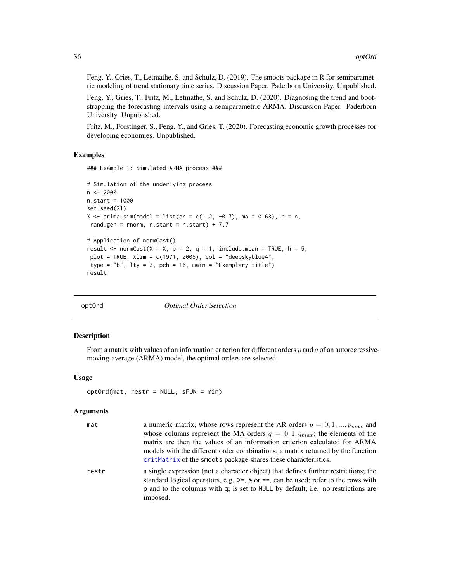<span id="page-35-0"></span>Feng, Y., Gries, T., Letmathe, S. and Schulz, D. (2019). The smoots package in R for semiparametric modeling of trend stationary time series. Discussion Paper. Paderborn University. Unpublished.

Feng, Y., Gries, T., Fritz, M., Letmathe, S. and Schulz, D. (2020). Diagnosing the trend and bootstrapping the forecasting intervals using a semiparametric ARMA. Discussion Paper. Paderborn University. Unpublished.

Fritz, M., Forstinger, S., Feng, Y., and Gries, T. (2020). Forecasting economic growth processes for developing economies. Unpublished.

#### Examples

### Example 1: Simulated ARMA process ###

```
# Simulation of the underlying process
n < -2000n.start = 1000
set.seed(21)
X \le -\arima.sim(model = list(ar = c(1.2, -0.7), ma = 0.63), n = n,rand.gen = rnorm, n.start = n.start) + 7.7
# Application of normCast()
result \le- normCast(X = X, p = 2, q = 1, include.mean = TRUE, h = 5,
 plot = TRUE, xlim = c(1971, 2005), col = "deepskyblue4",type = "b", lty = 3, pch = 16, main = "Exemplary title")
result
```
<span id="page-35-1"></span>

|  | optOrd |
|--|--------|
|  |        |

**Optimal Order Selection** 

# Description

From a matrix with values of an information criterion for different orders  $p$  and  $q$  of an autoregressivemoving-average (ARMA) model, the optimal orders are selected.

#### Usage

```
optOrd(mat, restr = NULL, sFUN = min)
```
# Arguments

| mat   | a numeric matrix, whose rows represent the AR orders $p = 0, 1, , p_{max}$ and                                                                                                                                                                                                |
|-------|-------------------------------------------------------------------------------------------------------------------------------------------------------------------------------------------------------------------------------------------------------------------------------|
|       | whose columns represent the MA orders $q = 0, 1, q_{max}$ ; the elements of the                                                                                                                                                                                               |
|       | matrix are then the values of an information criterion calculated for ARMA                                                                                                                                                                                                    |
|       | models with the different order combinations; a matrix returned by the function<br>critMatrix of the smoots package shares these characteristics.                                                                                                                             |
| restr | a single expression (not a character object) that defines further restrictions; the<br>standard logical operators, e.g. $\ge$ =, & or ==, can be used; refer to the rows with<br>p and to the columns with q; is set to NULL by default, i.e. no restrictions are<br>imposed. |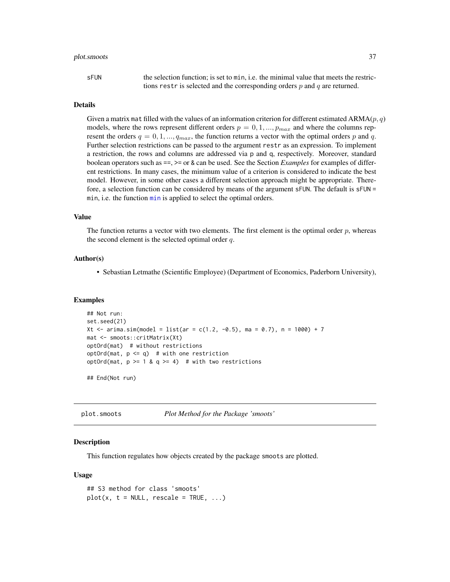# <span id="page-36-0"></span>plot.smoots 37

| sFUN | the selection function: is set to min, i.e. the minimal value that meets the restric- |
|------|---------------------------------------------------------------------------------------|
|      | tions restr is selected and the corresponding orders $p$ and $q$ are returned.        |

# Details

Given a matrix mat filled with the values of an information criterion for different estimated  $ARMA(p, q)$ models, where the rows represent different orders  $p = 0, 1, ..., p_{max}$  and where the columns represent the orders  $q = 0, 1, ..., q_{max}$ , the function returns a vector with the optimal orders p and q. Further selection restrictions can be passed to the argument restr as an expression. To implement a restriction, the rows and columns are addressed via p and q, respectively. Moreover, standard boolean operators such as ==, >= or & can be used. See the Section *Examples* for examples of different restrictions. In many cases, the minimum value of a criterion is considered to indicate the best model. However, in some other cases a different selection approach might be appropriate. Therefore, a selection function can be considered by means of the argument sFUN. The default is sFUN = [min](#page-0-0), i.e. the function min is applied to select the optimal orders.

#### Value

The function returns a vector with two elements. The first element is the optimal order  $p$ , whereas the second element is the selected optimal order  $q$ .

# Author(s)

• Sebastian Letmathe (Scientific Employee) (Department of Economics, Paderborn University),

#### Examples

```
## Not run:
set.seed(21)
Xt <- arima.sim(model = list(ar = c(1.2, -0.5), ma = 0.7), n = 1000) + 7
mat <- smoots::critMatrix(Xt)
optOrd(mat) # without restrictions
optOrd(mat, p \leq q) # with one restriction
optOrd(mat, p \ge 1 & q \ge 4) # with two restrictions
```
## End(Not run)

plot.smoots *Plot Method for the Package 'smoots'*

# Description

This function regulates how objects created by the package smoots are plotted.

#### Usage

```
## S3 method for class 'smoots'
plot(x, t = NULL, rescale = TRUE, ...)
```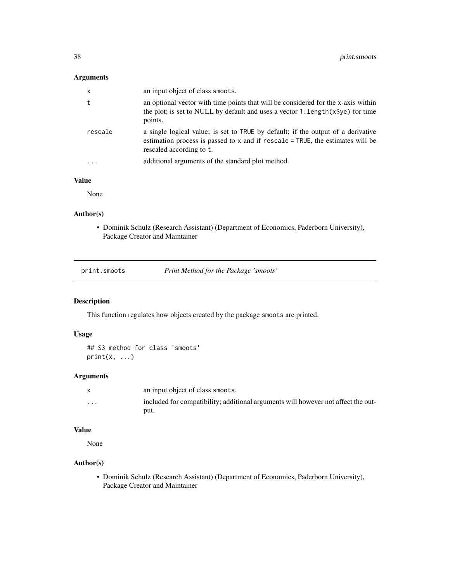# <span id="page-37-0"></span>Arguments

| $\mathsf{x}$ | an input object of class smoots.                                                                                                                                                                    |
|--------------|-----------------------------------------------------------------------------------------------------------------------------------------------------------------------------------------------------|
| t            | an optional vector with time points that will be considered for the x-axis within<br>the plot; is set to NULL by default and uses a vector 1: length (x\$ye) for time<br>points.                    |
| rescale      | a single logical value; is set to TRUE by default; if the output of a derivative<br>estimation process is passed to $x$ and if $rescale = TRUE$ , the estimates will be<br>rescaled according to t. |
|              | additional arguments of the standard plot method.                                                                                                                                                   |

# Value

None

# Author(s)

• Dominik Schulz (Research Assistant) (Department of Economics, Paderborn University), Package Creator and Maintainer

| print.smoots | Print Method for the Package 'smoots' |  |
|--------------|---------------------------------------|--|
|              |                                       |  |

# Description

This function regulates how objects created by the package smoots are printed.

# Usage

```
## S3 method for class 'smoots'
print(x, \ldots)
```
# Arguments

|                         | an input object of class smoots.                                                  |
|-------------------------|-----------------------------------------------------------------------------------|
| $\cdot$ $\cdot$ $\cdot$ | included for compatibility; additional arguments will however not affect the out- |
|                         | put.                                                                              |

# Value

None

# Author(s)

• Dominik Schulz (Research Assistant) (Department of Economics, Paderborn University), Package Creator and Maintainer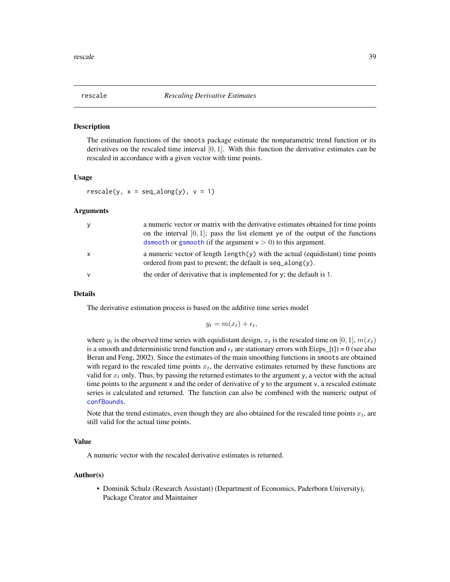<span id="page-38-1"></span><span id="page-38-0"></span>

# Description

The estimation functions of the smoots package estimate the nonparametric trend function or its derivatives on the rescaled time interval  $[0, 1]$ . With this function the derivative estimates can be rescaled in accordance with a given vector with time points.

# Usage

 $rescale(y, x = seq_along(y), y = 1)$ 

# Arguments

| y            | a numeric vector or matrix with the derivative estimates obtained for time points<br>on the interval $[0, 1]$ ; pass the list element ye of the output of the functions<br>dsmooth or gsmooth (if the argument $v > 0$ ) to this argument. |
|--------------|--------------------------------------------------------------------------------------------------------------------------------------------------------------------------------------------------------------------------------------------|
| $\mathsf{x}$ | a numeric vector of length $\text{length}(y)$ with the actual (equidistant) time points<br>ordered from past to present; the default is $seq\_along(y)$ .                                                                                  |
| $\mathsf{v}$ | the order of derivative that is implemented for $y$ ; the default is 1.                                                                                                                                                                    |

# Details

The derivative estimation process is based on the additive time series model

$$
y_t = m(x_t) + \epsilon_t,
$$

where  $y_t$  is the observed time series with equidistant design,  $x_t$  is the rescaled time on [0, 1],  $m(x_t)$ is a smooth and deterministic trend function and  $\epsilon_t$  are stationary errors with E(eps [t]) = 0 (see also Beran and Feng, 2002). Since the estimates of the main smoothing functions in smoots are obtained with regard to the rescaled time points  $x_t$ , the derivative estimates returned by these functions are valid for  $x_t$  only. Thus, by passing the returned estimates to the argument y, a vector with the actual time points to the argument x and the order of derivative of y to the argument v, a rescaled estimate series is calculated and returned. The function can also be combined with the numeric output of [confBounds](#page-6-1).

Note that the trend estimates, even though they are also obtained for the rescaled time points  $x_t$ , are still valid for the actual time points.

### Value

A numeric vector with the rescaled derivative estimates is returned.

#### Author(s)

• Dominik Schulz (Research Assistant) (Department of Economics, Paderborn University), Package Creator and Maintainer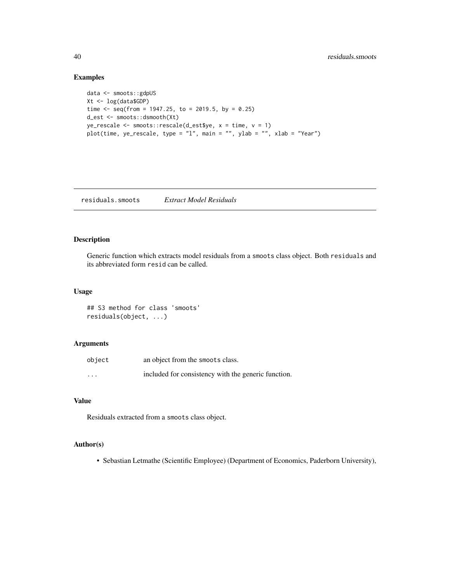# Examples

```
data <- smoots::gdpUS
Xt <- log(data$GDP)
time \leq seq(from = 1947.25, to = 2019.5, by = 0.25)
d_est <- smoots::dsmooth(Xt)
ye_rescale <- smoots::rescale(d_est$ye, x = time, v = 1)
plot(time, ye_rescale, type = "l", main = "", ylab = "", xlab = "Year")
```
residuals.smoots *Extract Model Residuals*

# Description

Generic function which extracts model residuals from a smoots class object. Both residuals and its abbreviated form resid can be called.

# Usage

## S3 method for class 'smoots' residuals(object, ...)

# Arguments

| object   | an object from the smoots class.                    |
|----------|-----------------------------------------------------|
| $\cdots$ | included for consistency with the generic function. |

# Value

Residuals extracted from a smoots class object.

# Author(s)

• Sebastian Letmathe (Scientific Employee) (Department of Economics, Paderborn University),

<span id="page-39-0"></span>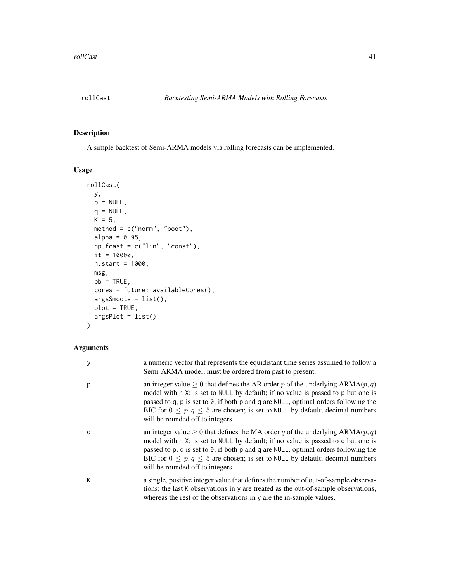<span id="page-40-0"></span>

# Description

A simple backtest of Semi-ARMA models via rolling forecasts can be implemented.

# Usage

```
rollCast(
 y,
 p = NULL,q = NULL,K = 5,
 method = c("norm", "boot"),
  alpha = 0.95,
 np.fcast = c("lin", "const"),
  it = 10000,n.start = 1000,
 msg,
 pb = TRUE,cores = future::availableCores(),
  argsSmoots = list(),
 plot = TRUE,
 argsPlot = list()
\mathcal{L}
```
# Arguments

| У | a numeric vector that represents the equidistant time series assumed to follow a<br>Semi-ARMA model; must be ordered from past to present.                                                                                                                                                                                                                                                        |
|---|---------------------------------------------------------------------------------------------------------------------------------------------------------------------------------------------------------------------------------------------------------------------------------------------------------------------------------------------------------------------------------------------------|
| р | an integer value $\geq 0$ that defines the AR order p of the underlying ARMA $(p, q)$<br>model within X; is set to NULL by default; if no value is passed to p but one is<br>passed to q, p is set to $\theta$ ; if both p and q are NULL, optimal orders following the<br>BIC for $0 \le p, q \le 5$ are chosen; is set to NULL by default; decimal numbers<br>will be rounded off to integers.  |
| q | an integer value $\geq 0$ that defines the MA order q of the underlying ARMA( $p, q$ )<br>model within X; is set to NULL by default; if no value is passed to q but one is<br>passed to p, q is set to $\theta$ ; if both p and q are NULL, optimal orders following the<br>BIC for $0 \le p, q \le 5$ are chosen; is set to NULL by default; decimal numbers<br>will be rounded off to integers. |
| K | a single, positive integer value that defines the number of out-of-sample observa-<br>tions; the last K observations in y are treated as the out-of-sample observations,<br>whereas the rest of the observations in y are the in-sample values.                                                                                                                                                   |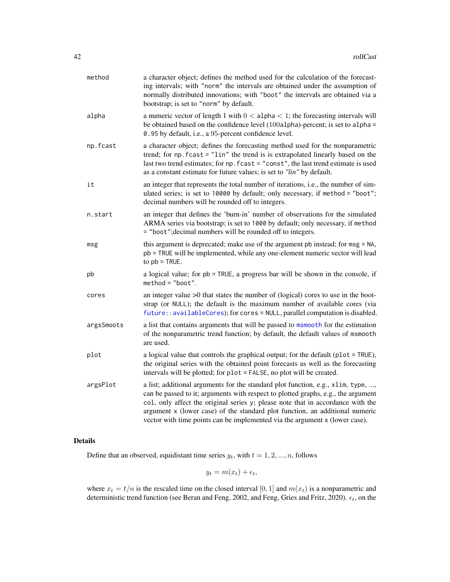<span id="page-41-0"></span>

| method     | a character object; defines the method used for the calculation of the forecast-<br>ing intervals; with "norm" the intervals are obtained under the assumption of<br>normally distributed innovations; with "boot" the intervals are obtained via a<br>bootstrap; is set to "norm" by default.                                                                                                                          |  |
|------------|-------------------------------------------------------------------------------------------------------------------------------------------------------------------------------------------------------------------------------------------------------------------------------------------------------------------------------------------------------------------------------------------------------------------------|--|
| alpha      | a numeric vector of length 1 with $0 <$ alpha $<$ 1; the forecasting intervals will<br>be obtained based on the confidence level (100a1pha)-percent; is set to a1pha =<br>0.95 by default, i.e., a 95-percent confidence level.                                                                                                                                                                                         |  |
| np.fcast   | a character object; defines the forecasting method used for the nonparametric<br>trend; for np. fcast = "lin" the trend is is extrapolated linearly based on the<br>last two trend estimates; for np. fcast = "const", the last trend estimate is used<br>as a constant estimate for future values; is set to "lin" by default.                                                                                         |  |
| it         | an integer that represents the total number of iterations, i.e., the number of sim-<br>ulated series; is set to 10000 by default; only necessary, if method = "boot";<br>decimal numbers will be rounded off to integers.                                                                                                                                                                                               |  |
| n.start    | an integer that defines the 'burn-in' number of observations for the simulated<br>ARMA series via bootstrap; is set to 1000 by default; only necessary, if method<br>= "boot"; decimal numbers will be rounded off to integers.                                                                                                                                                                                         |  |
| msg        | this argument is deprecated; make use of the argument pb instead; for msg = NA,<br>pb = TRUE will be implemented, while any one-element numeric vector will lead<br>to $pb$ = TRUE.                                                                                                                                                                                                                                     |  |
| pb         | a logical value; for pb = TRUE, a progress bar will be shown in the console, if<br>$method = "boot".$                                                                                                                                                                                                                                                                                                                   |  |
| cores      | an integer value $>0$ that states the number of (logical) cores to use in the boot-<br>strap (or NULL); the default is the maximum number of available cores (via<br>future:: availableCores); for cores = NULL, parallel computation is disabled.                                                                                                                                                                      |  |
| argsSmoots | a list that contains arguments that will be passed to msmooth for the estimation<br>of the nonparametric trend function; by default, the default values of msmooth<br>are used.                                                                                                                                                                                                                                         |  |
| plot       | a logical value that controls the graphical output; for the default (plot = TRUE),<br>the original series with the obtained point forecasts as well as the forecasting<br>intervals will be plotted; for plot = FALSE, no plot will be created.                                                                                                                                                                         |  |
| argsPlot   | a list; additional arguments for the standard plot function, e.g., xlim, type, ,<br>can be passed to it; arguments with respect to plotted graphs, e.g., the argument<br>col, only affect the original series y; please note that in accordance with the<br>argument x (lower case) of the standard plot function, an additional numeric<br>vector with time points can be implemented via the argument x (lower case). |  |

# Details

Define that an observed, equidistant time series  $y_t$ , with  $t = 1, 2, ..., n$ , follows

 $y_t = m(x_t) + \epsilon_t,$ 

where  $x_t = t/n$  is the rescaled time on the closed interval [0, 1] and  $m(x_t)$  is a nonparametric and deterministic trend function (see Beran and Feng, 2002, and Feng, Gries and Fritz, 2020).  $\epsilon_t$ , on the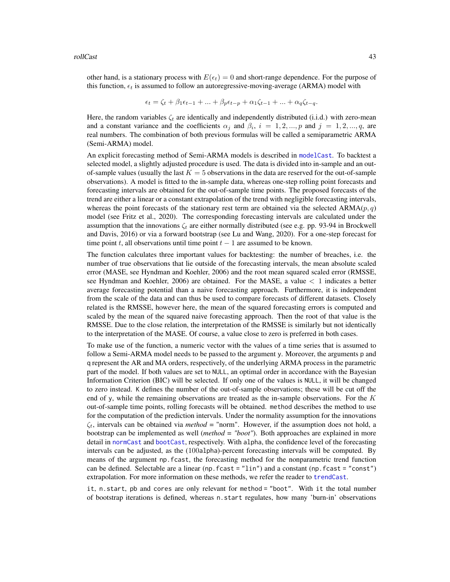<span id="page-42-0"></span>other hand, is a stationary process with  $E(\epsilon_t) = 0$  and short-range dependence. For the purpose of this function,  $\epsilon_t$  is assumed to follow an autoregressive-moving-average (ARMA) model with

$$
\epsilon_t = \zeta_t + \beta_1 \epsilon_{t-1} + \dots + \beta_p \epsilon_{t-p} + \alpha_1 \zeta_{t-1} + \dots + \alpha_q \zeta_{t-q}.
$$

Here, the random variables  $\zeta_t$  are identically and independently distributed (i.i.d.) with zero-mean and a constant variance and the coefficients  $\alpha_j$  and  $\beta_i$ ,  $i = 1, 2, ..., p$  and  $j = 1, 2, ..., q$ , are real numbers. The combination of both previous formulas will be called a semiparametric ARMA (Semi-ARMA) model.

An explicit forecasting method of Semi-ARMA models is described in [modelCast](#page-22-1). To backtest a selected model, a slightly adjusted procedure is used. The data is divided into in-sample and an outof-sample values (usually the last  $K = 5$  observations in the data are reserved for the out-of-sample observations). A model is fitted to the in-sample data, whereas one-step rolling point forecasts and forecasting intervals are obtained for the out-of-sample time points. The proposed forecasts of the trend are either a linear or a constant extrapolation of the trend with negligible forecasting intervals, whereas the point forecasts of the stationary rest term are obtained via the selected  $ARMA(p, q)$ model (see Fritz et al., 2020). The corresponding forecasting intervals are calculated under the assumption that the innovations  $\zeta_t$  are either normally distributed (see e.g. pp. 93-94 in Brockwell and Davis, 2016) or via a forward bootstrap (see Lu and Wang, 2020). For a one-step forecast for time point t, all observations until time point  $t - 1$  are assumed to be known.

The function calculates three important values for backtesting: the number of breaches, i.e. the number of true observations that lie outside of the forecasting intervals, the mean absolute scaled error (MASE, see Hyndman and Koehler, 2006) and the root mean squared scaled error (RMSSE, see Hyndman and Koehler, 2006) are obtained. For the MASE, a value  $\lt 1$  indicates a better average forecasting potential than a naive forecasting approach. Furthermore, it is independent from the scale of the data and can thus be used to compare forecasts of different datasets. Closely related is the RMSSE, however here, the mean of the squared forecasting errors is computed and scaled by the mean of the squared naive forecasting approach. Then the root of that value is the RMSSE. Due to the close relation, the interpretation of the RMSSE is similarly but not identically to the interpretation of the MASE. Of course, a value close to zero is preferred in both cases.

To make use of the function, a numeric vector with the values of a time series that is assumed to follow a Semi-ARMA model needs to be passed to the argument y. Moreover, the arguments p and q represent the AR and MA orders, respectively, of the underlying ARMA process in the parametric part of the model. If both values are set to NULL, an optimal order in accordance with the Bayesian Information Criterion (BIC) will be selected. If only one of the values is NULL, it will be changed to zero instead. K defines the number of the out-of-sample observations; these will be cut off the end of y, while the remaining observations are treated as the in-sample observations. For the  $K$ out-of-sample time points, rolling forecasts will be obtained. method describes the method to use for the computation of the prediction intervals. Under the normality assumption for the innovations  $\zeta_t$ , intervals can be obtained via *method* = "norm". However, if the assumption does not hold, a bootstrap can be implemented as well (*method = "boot"*). Both approaches are explained in more detail in [normCast](#page-32-1) and [bootCast](#page-1-1), respectively. With alpha, the confidence level of the forecasting intervals can be adjusted, as the (100alpha)-percent forecasting intervals will be computed. By means of the argument np.fcast, the forecasting method for the nonparametric trend function can be defined. Selectable are a linear (np.fcast = "lin") and a constant (np.fcast = "const") extrapolation. For more information on these methods, we refer the reader to [trendCast](#page-48-1).

it, n.start, pb and cores are only relevant for method = "boot". With it the total number of bootstrap iterations is defined, whereas n.start regulates, how many 'burn-in' observations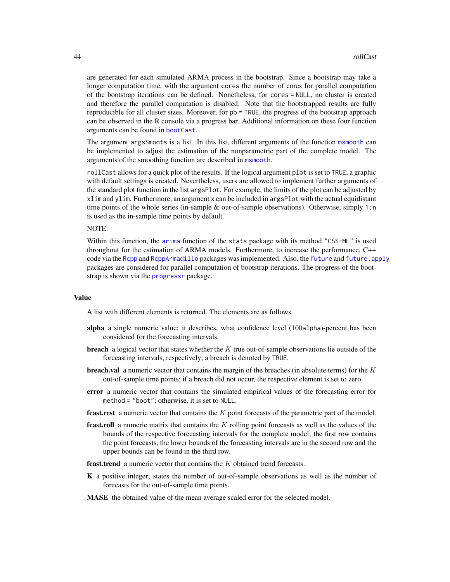<span id="page-43-0"></span>are generated for each simulated ARMA process in the bootstrap. Since a bootstrap may take a longer computation time, with the argument cores the number of cores for parallel computation of the bootstrap iterations can be defined. Nonetheless, for cores = NULL, no cluster is created and therefore the parallel computation is disabled. Note that the bootstrapped results are fully reproducible for all cluster sizes. Moreover, for pb = TRUE, the progress of the bootstrap approach can be observed in the R console via a progress bar. Additional information on these four function arguments can be found in [bootCast](#page-1-1).

The argument argsSmoots is a list. In this list, different arguments of the function [msmooth](#page-26-1) can be implemented to adjust the estimation of the nonparametric part of the complete model. The arguments of the smoothing function are described in [msmooth](#page-26-1).

rollCast allows for a quick plot of the results. If the logical argument plot is set to TRUE, a graphic with default settings is created. Nevertheless, users are allowed to implement further arguments of the standard plot function in the list argsPlot. For example, the limits of the plot can be adjusted by xlim and ylim. Furthermore, an argument x can be included in argsPlot with the actual equidistant time points of the whole series (in-sample & out-of-sample observations). Otherwise, simply 1:n is used as the in-sample time points by default.

# NOTE:

Within this function, the [arima](#page-0-0) function of the stats package with its method "CSS-ML" is used throughout for the estimation of ARMA models. Furthermore, to increase the performance, C++ code via the [Rcpp](#page-0-0) and [RcppArmadillo](#page-0-0) packages was implemented. Also, the [future](#page-0-0) and [future.apply](#page-0-0) packages are considered for parallel computation of bootstrap iterations. The progress of the bootstrap is shown via the [progressr](#page-0-0) package.

#### Value

A list with different elements is returned. The elements are as follows.

- alpha a single numeric value; it describes, what confidence level (100alpha)-percent has been considered for the forecasting intervals.
- **breach** a logical vector that states whether the K true out-of-sample observations lie outside of the forecasting intervals, respectively; a breach is denoted by TRUE.
- **breach.val** a numeric vector that contains the margin of the breaches (in absolute terms) for the  $K$ out-of-sample time points; if a breach did not occur, the respective element is set to zero.
- error a numeric vector that contains the simulated empirical values of the forecasting error for method = "boot"; otherwise, it is set to NULL.
- **fcast.rest** a numeric vector that contains the  $K$  point forecasts of the parametric part of the model.
- **fcast.roll** a numeric matrix that contains the  $K$  rolling point forecasts as well as the values of the bounds of the respective forecasting intervals for the complete model; the first row contains the point forecasts, the lower bounds of the forecasting intervals are in the second row and the upper bounds can be found in the third row.
- **fcast.trend** a numeric vector that contains the  $K$  obtained trend forecasts.
- K a positive integer; states the number of out-of-sample observations as well as the number of forecasts for the out-of-sample time points.
- MASE the obtained value of the mean average scaled error for the selected model.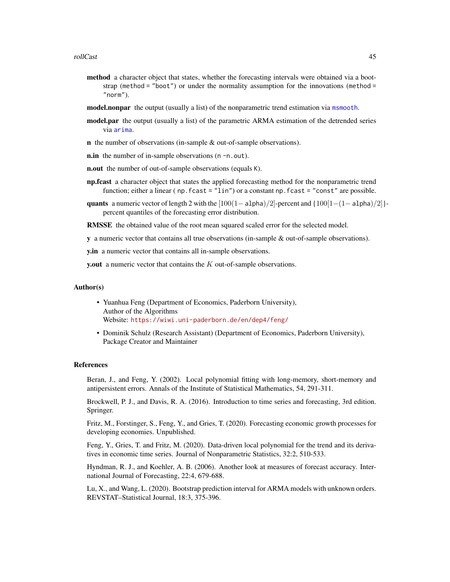- <span id="page-44-0"></span>method a character object that states, whether the forecasting intervals were obtained via a bootstrap (method = "boot") or under the normality assumption for the innovations (method = "norm").
- model.nonpar the output (usually a list) of the nonparametric trend estimation via [msmooth](#page-26-1).
- model.par the output (usually a list) of the parametric ARMA estimation of the detrended series via [arima](#page-0-0).
- n the number of observations (in-sample & out-of-sample observations).
- **n.in** the number of in-sample observations (n -n.out).
- **n.out** the number of out-of-sample observations (equals K).
- np.fcast a character object that states the applied forecasting method for the nonparametric trend function; either a linear ( np. fcast = "lin") or a constant np. fcast = "const" are possible.
- quants a numeric vector of length 2 with the  $[100(1- a1pha)/2]$ -percent and  $\{100[1-(1- a1pha)/2]\}$ percent quantiles of the forecasting error distribution.
- RMSSE the obtained value of the root mean squared scaled error for the selected model.
- y a numeric vector that contains all true observations (in-sample & out-of-sample observations).

y.in a numeric vector that contains all in-sample observations.

y.out a numeric vector that contains the  $K$  out-of-sample observations.

## Author(s)

- Yuanhua Feng (Department of Economics, Paderborn University), Author of the Algorithms Website: <https://wiwi.uni-paderborn.de/en/dep4/feng/>
- Dominik Schulz (Research Assistant) (Department of Economics, Paderborn University), Package Creator and Maintainer

#### References

Beran, J., and Feng, Y. (2002). Local polynomial fitting with long-memory, short-memory and antipersistent errors. Annals of the Institute of Statistical Mathematics, 54, 291-311.

Brockwell, P. J., and Davis, R. A. (2016). Introduction to time series and forecasting, 3rd edition. Springer.

Fritz, M., Forstinger, S., Feng, Y., and Gries, T. (2020). Forecasting economic growth processes for developing economies. Unpublished.

Feng, Y., Gries, T. and Fritz, M. (2020). Data-driven local polynomial for the trend and its derivatives in economic time series. Journal of Nonparametric Statistics, 32:2, 510-533.

Hyndman, R. J., and Koehler, A. B. (2006). Another look at measures of forecast accuracy. International Journal of Forecasting, 22:4, 679-688.

Lu, X., and Wang, L. (2020). Bootstrap prediction interval for ARMA models with unknown orders. REVSTAT–Statistical Journal, 18:3, 375-396.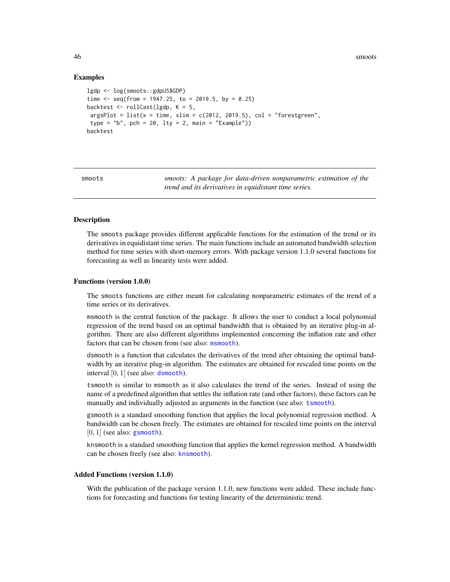46 smoots and the smoots of the smoots smoots and the smoots smoots smoots smoots and the smoots smoots  $\mathbf{s}$ 

# Examples

```
lgdp <- log(smoots::gdpUS$GDP)
time \leq seq(from = 1947.25, to = 2019.5, by = 0.25)
backtest <- rollCast(lgdp, K = 5,
argsPlot = list(x = time, xlim = c(2012, 2019.5), col = "forestgreen",type = "b", pch = 20, lty = 2, main = "Example"))
backtest
```
smoots *smoots: A package for data-driven nonparametric estimation of the trend and its derivatives in equidistant time series.*

#### **Description**

The smoots package provides different applicable functions for the estimation of the trend or its derivatives in equidistant time series. The main functions include an automated bandwidth selection method for time series with short-memory errors. With package version 1.1.0 several functions for forecasting as well as linearity tests were added.

# Functions (version 1.0.0)

The smoots functions are either meant for calculating nonparametric estimates of the trend of a time series or its derivatives.

msmooth is the central function of the package. It allows the user to conduct a local polynomial regression of the trend based on an optimal bandwidth that is obtained by an iterative plug-in algorithm. There are also different algorithms implemented concerning the inflation rate and other factors that can be chosen from (see also: [msmooth](#page-26-1)).

dsmooth is a function that calculates the derivatives of the trend after obtaining the optimal bandwidth by an iterative plug-in algorithm. The estimates are obtained for rescaled time points on the interval  $[0, 1]$  (see also: [dsmooth](#page-12-1)).

tsmooth is similar to msmooth as it also calculates the trend of the series. Instead of using the name of a predefined algorithm that settles the inflation rate (and other factors), these factors can be manually and individually adjusted as arguments in the function (see also: [tsmooth](#page-50-1)).

gsmooth is a standard smoothing function that applies the local polynomial regression method. A bandwidth can be chosen freely. The estimates are obtained for rescaled time points on the interval  $[0, 1]$  (see also: [gsmooth](#page-17-1)).

knsmooth is a standard smoothing function that applies the kernel regression method. A bandwidth can be chosen freely (see also: [knsmooth](#page-20-1)).

# Added Functions (version 1.1.0)

With the publication of the package version 1.1.0, new functions were added. These include functions for forecasting and functions for testing linearity of the deterministic trend.

<span id="page-45-0"></span>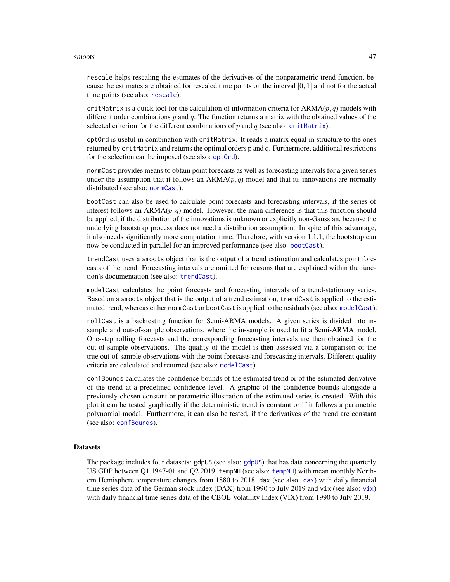#### <span id="page-46-0"></span>smoots and the smooth state of the state of the state of the state of the state of the state of the state of the state of the state of the state of the state of the state of the state of the state of the state of the state

rescale helps rescaling the estimates of the derivatives of the nonparametric trend function, because the estimates are obtained for rescaled time points on the interval [0, 1] and not for the actual time points (see also: [rescale](#page-38-1)).

critMatrix is a quick tool for the calculation of information criteria for  $ARMA(p, q)$  models with different order combinations  $p$  and  $q$ . The function returns a matrix with the obtained values of the selected criterion for the different combinations of p and q (see also: [critMatrix](#page-9-1)).

optOrd is useful in combination with critMatrix. It reads a matrix equal in structure to the ones returned by critMatrix and returns the optimal orders p and q. Furthermore, additional restrictions for the selection can be imposed (see also: [optOrd](#page-35-1)).

normCast provides means to obtain point forecasts as well as forecasting intervals for a given series under the assumption that it follows an  $ARMA(p, q)$  model and that its innovations are normally distributed (see also: [normCast](#page-32-1)).

bootCast can also be used to calculate point forecasts and forecasting intervals, if the series of interest follows an  $ARMA(p, q)$  model. However, the main difference is that this function should be applied, if the distribution of the innovations is unknown or explicitly non-Gaussian, because the underlying bootstrap process does not need a distribution assumption. In spite of this advantage, it also needs significantly more computation time. Therefore, with version 1.1.1, the bootstrap can now be conducted in parallel for an improved performance (see also: [bootCast](#page-1-1)).

trendCast uses a smoots object that is the output of a trend estimation and calculates point forecasts of the trend. Forecasting intervals are omitted for reasons that are explained within the function's documentation (see also: [trendCast](#page-48-1)).

modelCast calculates the point forecasts and forecasting intervals of a trend-stationary series. Based on a smoots object that is the output of a trend estimation, trendCast is applied to the estimated trend, whereas either normCast or bootCast is applied to the residuals (see also: [modelCast](#page-22-1)).

rollCast is a backtesting function for Semi-ARMA models. A given series is divided into insample and out-of-sample observations, where the in-sample is used to fit a Semi-ARMA model. One-step rolling forecasts and the corresponding forecasting intervals are then obtained for the out-of-sample observations. The quality of the model is then assessed via a comparison of the true out-of-sample observations with the point forecasts and forecasting intervals. Different quality criteria are calculated and returned (see also: [modelCast](#page-22-1)).

confBounds calculates the confidence bounds of the estimated trend or of the estimated derivative of the trend at a predefined confidence level. A graphic of the confidence bounds alongside a previously chosen constant or parametric illustration of the estimated series is created. With this plot it can be tested graphically if the deterministic trend is constant or if it follows a parametric polynomial model. Furthermore, it can also be tested, if the derivatives of the trend are constant (see also: [confBounds](#page-6-1)).

# **Datasets**

The package includes four datasets: [gdpUS](#page-16-1) (see also: gdpUS) that has data concerning the quarterly US GDP between Q1 1947-01 and Q2 2019, tempNH (see also: [tempNH](#page-47-1)) with mean monthly Northern Hemisphere temperature changes from 1880 to 2018, dax (see also: [dax](#page-11-1)) with daily financial time series data of the German stock index (DAX) from 1990 to July 2019 and vix (see also: [vix](#page-56-1)) with daily financial time series data of the CBOE Volatility Index (VIX) from 1990 to July 2019.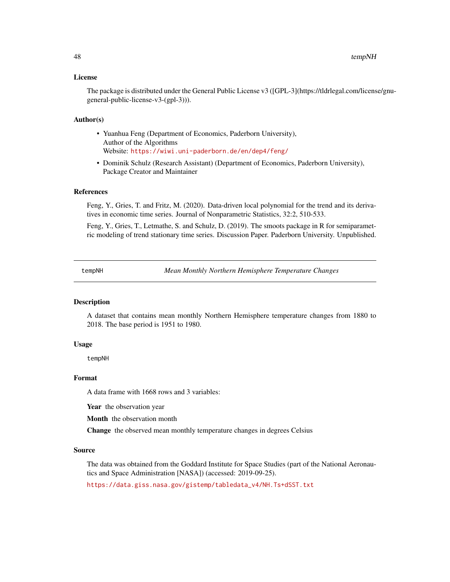# <span id="page-47-0"></span>License

The package is distributed under the General Public License v3 ([GPL-3](https://tldrlegal.com/license/gnugeneral-public-license-v3-(gpl-3))).

# Author(s)

- Yuanhua Feng (Department of Economics, Paderborn University), Author of the Algorithms Website: <https://wiwi.uni-paderborn.de/en/dep4/feng/>
- Dominik Schulz (Research Assistant) (Department of Economics, Paderborn University), Package Creator and Maintainer

# References

Feng, Y., Gries, T. and Fritz, M. (2020). Data-driven local polynomial for the trend and its derivatives in economic time series. Journal of Nonparametric Statistics, 32:2, 510-533.

Feng, Y., Gries, T., Letmathe, S. and Schulz, D. (2019). The smoots package in R for semiparametric modeling of trend stationary time series. Discussion Paper. Paderborn University. Unpublished.

<span id="page-47-1"></span>tempNH *Mean Monthly Northern Hemisphere Temperature Changes*

# Description

A dataset that contains mean monthly Northern Hemisphere temperature changes from 1880 to 2018. The base period is 1951 to 1980.

# Usage

tempNH

#### Format

A data frame with 1668 rows and 3 variables:

Year the observation year

Month the observation month

Change the observed mean monthly temperature changes in degrees Celsius

#### Source

The data was obtained from the Goddard Institute for Space Studies (part of the National Aeronautics and Space Administration [NASA]) (accessed: 2019-09-25).

[https://data.giss.nasa.gov/gistemp/tabledata\\_v4/NH.Ts+dSST.txt](https://data.giss.nasa.gov/gistemp/tabledata_v4/NH.Ts+dSST.txt)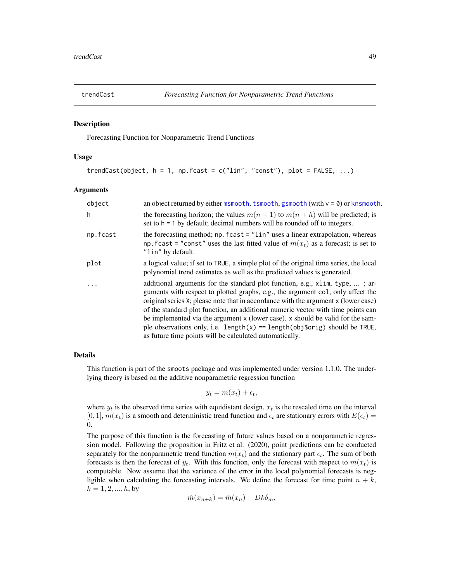<span id="page-48-1"></span><span id="page-48-0"></span>

#### Description

Forecasting Function for Nonparametric Trend Functions

# Usage

```
trendCast(object, h = 1, np.fcast = c("lin", "const"), plot = FALSE, ...)
```
#### Arguments

| object   | an object returned by either msmooth, tsmooth, gsmooth (with $v = 0$ ) or knsmooth.                                                                                                                                                                                                                                                                                                                                                                                                                                                                                         |  |
|----------|-----------------------------------------------------------------------------------------------------------------------------------------------------------------------------------------------------------------------------------------------------------------------------------------------------------------------------------------------------------------------------------------------------------------------------------------------------------------------------------------------------------------------------------------------------------------------------|--|
| h        | the forecasting horizon; the values $m(n + 1)$ to $m(n + h)$ will be predicted; is<br>set to $h = 1$ by default; decimal numbers will be rounded off to integers.                                                                                                                                                                                                                                                                                                                                                                                                           |  |
| np.fcast | the forecasting method; np. fcast = "lin" uses a linear extrapolation, whereas<br>np. fcast = "const" uses the last fitted value of $m(x_t)$ as a forecast; is set to<br>"lin" by default.                                                                                                                                                                                                                                                                                                                                                                                  |  |
| plot     | a logical value; if set to TRUE, a simple plot of the original time series, the local<br>polynomial trend estimates as well as the predicted values is generated.                                                                                                                                                                                                                                                                                                                                                                                                           |  |
| $\cdot$  | additional arguments for the standard plot function, e.g., x1im, type, ; ar-<br>guments with respect to plotted graphs, e.g., the argument col, only affect the<br>original series X; please note that in accordance with the argument x (lower case)<br>of the standard plot function, an additional numeric vector with time points can<br>be implemented via the argument x (lower case). x should be valid for the sam-<br>ple observations only, i.e. length( $x$ ) == length( $obj$orig$ ) should be TRUE,<br>as future time points will be calculated automatically. |  |

# Details

This function is part of the smoots package and was implemented under version 1.1.0. The underlying theory is based on the additive nonparametric regression function

 $y_t = m(x_t) + \epsilon_t,$ 

where  $y_t$  is the observed time series with equidistant design,  $x_t$  is the rescaled time on the interval [0, 1],  $m(x_t)$  is a smooth and deterministic trend function and  $\epsilon_t$  are stationary errors with  $E(\epsilon_t)$  = 0.

The purpose of this function is the forecasting of future values based on a nonparametric regression model. Following the proposition in Fritz et al. (2020), point predictions can be conducted separately for the nonparametric trend function  $m(x_t)$  and the stationary part  $\epsilon_t$ . The sum of both forecasts is then the forecast of  $y_t$ . With this function, only the forecast with respect to  $m(x_t)$  is computable. Now assume that the variance of the error in the local polynomial forecasts is negligible when calculating the forecasting intervals. We define the forecast for time point  $n + k$ ,  $k = 1, 2, ..., h$ , by

$$
\hat{m}(x_{n+k}) = \hat{m}(x_n) + Dk\delta_m,
$$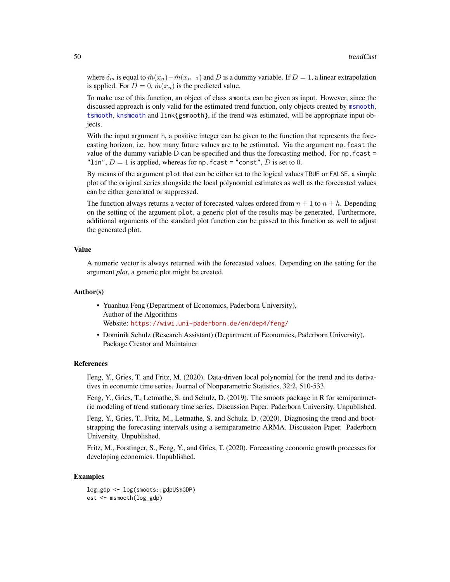<span id="page-49-0"></span>where  $\delta_m$  is equal to  $\hat{m}(x_n) - \hat{m}(x_{n-1})$  and D is a dummy variable. If  $D = 1$ , a linear extrapolation is applied. For  $D = 0$ ,  $\hat{m}(x_n)$  is the predicted value.

To make use of this function, an object of class smoots can be given as input. However, since the discussed approach is only valid for the estimated trend function, only objects created by [msmooth](#page-26-1), [tsmooth](#page-50-1), [knsmooth](#page-20-1) and link{gsmooth}, if the trend was estimated, will be appropriate input objects.

With the input argument h, a positive integer can be given to the function that represents the forecasting horizon, i.e. how many future values are to be estimated. Via the argument np.fcast the value of the dummy variable  $D$  can be specified and thus the forecasting method. For np. fcast  $=$ "lin",  $D = 1$  is applied, whereas for np. fcast = "const", D is set to 0.

By means of the argument plot that can be either set to the logical values TRUE or FALSE, a simple plot of the original series alongside the local polynomial estimates as well as the forecasted values can be either generated or suppressed.

The function always returns a vector of forecasted values ordered from  $n + 1$  to  $n + h$ . Depending on the setting of the argument plot, a generic plot of the results may be generated. Furthermore, additional arguments of the standard plot function can be passed to this function as well to adjust the generated plot.

#### Value

A numeric vector is always returned with the forecasted values. Depending on the setting for the argument *plot*, a generic plot might be created.

# Author(s)

- Yuanhua Feng (Department of Economics, Paderborn University), Author of the Algorithms Website: <https://wiwi.uni-paderborn.de/en/dep4/feng/>
- Dominik Schulz (Research Assistant) (Department of Economics, Paderborn University), Package Creator and Maintainer

# References

Feng, Y., Gries, T. and Fritz, M. (2020). Data-driven local polynomial for the trend and its derivatives in economic time series. Journal of Nonparametric Statistics, 32:2, 510-533.

Feng, Y., Gries, T., Letmathe, S. and Schulz, D. (2019). The smoots package in R for semiparametric modeling of trend stationary time series. Discussion Paper. Paderborn University. Unpublished.

Feng, Y., Gries, T., Fritz, M., Letmathe, S. and Schulz, D. (2020). Diagnosing the trend and bootstrapping the forecasting intervals using a semiparametric ARMA. Discussion Paper. Paderborn University. Unpublished.

Fritz, M., Forstinger, S., Feng, Y., and Gries, T. (2020). Forecasting economic growth processes for developing economies. Unpublished.

# Examples

```
log_gdp <- log(smoots::gdpUS$GDP)
est <- msmooth(log_gdp)
```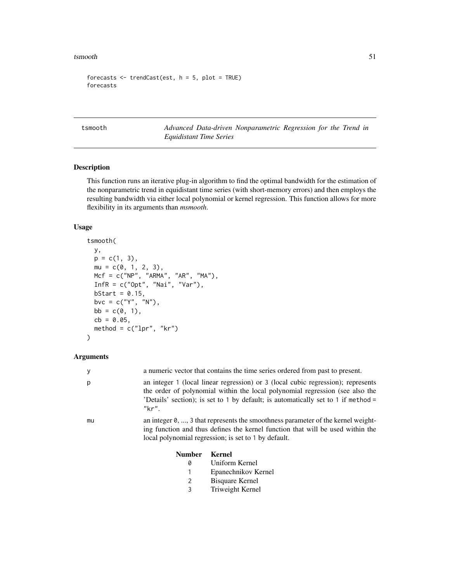<span id="page-50-0"></span>tsmooth 51

```
forecasts \leq trendCast(est, h = 5, plot = TRUE)
forecasts
```
<span id="page-50-1"></span>tsmooth *Advanced Data-driven Nonparametric Regression for the Trend in Equidistant Time Series*

# Description

This function runs an iterative plug-in algorithm to find the optimal bandwidth for the estimation of the nonparametric trend in equidistant time series (with short-memory errors) and then employs the resulting bandwidth via either local polynomial or kernel regression. This function allows for more flexibility in its arguments than *msmooth*.

# Usage

```
tsmooth(
 y,
 p = c(1, 3),
 mu = c(0, 1, 2, 3),Mcf = c("NP", "ARMA", "AR", "MA"),
 InfR = c("Opt", "Nai", "Var"),
 bStart = 0.15,
 bvc = c("Y", "N"),
 bb = c(0, 1),cb = 0.05,
 method = c("1pr", "kr"))
```
#### Arguments

| у  |               | a numeric vector that contains the time series ordered from past to present.                                                                                                                                                                          |  |
|----|---------------|-------------------------------------------------------------------------------------------------------------------------------------------------------------------------------------------------------------------------------------------------------|--|
| р  | "kr".         | an integer 1 (local linear regression) or 3 (local cubic regression); represents<br>the order of polynomial within the local polynomial regression (see also the<br>'Details' section); is set to 1 by default; is automatically set to 1 if method = |  |
| mu |               | an integer $\theta$ , , 3 that represents the smoothness parameter of the kernel weight-<br>ing function and thus defines the kernel function that will be used within the<br>local polynomial regression; is set to 1 by default.                    |  |
|    | <b>Number</b> | Kernel                                                                                                                                                                                                                                                |  |
|    | 0             | Uniform Kernel                                                                                                                                                                                                                                        |  |
|    |               | Epanechnikov Kernel                                                                                                                                                                                                                                   |  |
|    | 2             | Bisquare Kernel                                                                                                                                                                                                                                       |  |

3 Triweight Kernel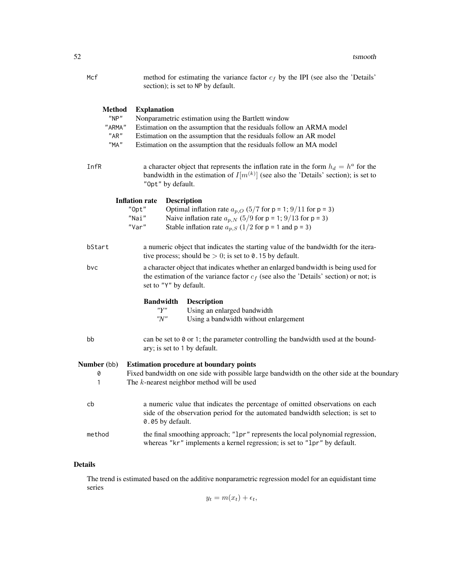| Mcf                                      | method for estimating the variance factor $c_f$ by the IPI (see also the 'Details'<br>section); is set to NP by default.                                                                                                                                                                     |  |  |
|------------------------------------------|----------------------------------------------------------------------------------------------------------------------------------------------------------------------------------------------------------------------------------------------------------------------------------------------|--|--|
| Method<br>"NP"<br>"ARMA"<br>"AR"<br>"MA" | <b>Explanation</b><br>Nonparametric estimation using the Bartlett window<br>Estimation on the assumption that the residuals follow an ARMA model<br>Estimation on the assumption that the residuals follow an AR model<br>Estimation on the assumption that the residuals follow an MA model |  |  |
| InfR                                     | a character object that represents the inflation rate in the form $h_d = h^a$ for the<br>bandwidth in the estimation of $I[m^{(k)}]$ (see also the 'Details' section); is set to<br>"Opt" by default.                                                                                        |  |  |
|                                          | <b>Inflation rate</b><br><b>Description</b><br>Optimal inflation rate $a_{p,Q}$ (5/7 for p = 1; 9/11 for p = 3)<br>"Opt"<br>"Nai"<br>Naive inflation rate $a_{p,N}$ (5/9 for p = 1; 9/13 for p = 3)<br>"Var"<br>Stable inflation rate $a_{p,S}$ (1/2 for p = 1 and p = 3)                    |  |  |
| bStart                                   | a numeric object that indicates the starting value of the bandwidth for the itera-<br>tive process; should be $> 0$ ; is set to 0.15 by default.                                                                                                                                             |  |  |
| bvc                                      | a character object that indicates whether an enlarged bandwidth is being used for<br>the estimation of the variance factor $c_f$ (see also the 'Details' section) or not; is<br>set to "Y" by default.                                                                                       |  |  |
|                                          | <b>Bandwidth</b><br><b>Description</b><br>"Y"<br>Using an enlarged bandwidth<br>"N"<br>Using a bandwidth without enlargement                                                                                                                                                                 |  |  |
| bb                                       | can be set to $\theta$ or 1; the parameter controlling the bandwidth used at the bound-<br>ary; is set to 1 by default.                                                                                                                                                                      |  |  |
| <b>Number</b> (bb)<br>0<br>1             | <b>Estimation procedure at boundary points</b><br>Fixed bandwidth on one side with possible large bandwidth on the other side at the boundary<br>The $k$ -nearest neighbor method will be used                                                                                               |  |  |
| cb                                       | a numeric value that indicates the percentage of omitted observations on each<br>side of the observation period for the automated bandwidth selection; is set to<br>0.05 by default.                                                                                                         |  |  |
| method                                   | the final smoothing approach; "1pr" represents the local polynomial regression,<br>whereas "kr" implements a kernel regression; is set to "1pr" by default.                                                                                                                                  |  |  |

# Details

The trend is estimated based on the additive nonparametric regression model for an equidistant time series

 $y_t = m(x_t) + \epsilon_t,$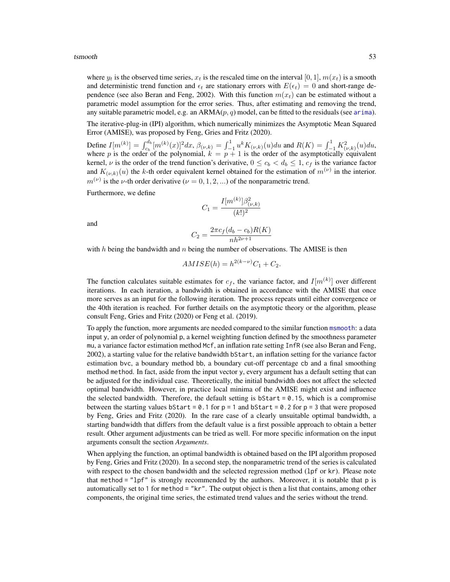<span id="page-52-0"></span>where  $y_t$  is the observed time series,  $x_t$  is the rescaled time on the interval [0, 1],  $m(x_t)$  is a smooth and deterministic trend function and  $\epsilon_t$  are stationary errors with  $E(\epsilon_t) = 0$  and short-range dependence (see also Beran and Feng, 2002). With this function  $m(x_t)$  can be estimated without a parametric model assumption for the error series. Thus, after estimating and removing the trend, any suitable parametric model, e.g. an  $ARMA(p, q)$  model, can be fitted to the residuals (see [arima](#page-0-0)).

The iterative-plug-in (IPI) algorithm, which numerically minimizes the Asymptotic Mean Squared Error (AMISE), was proposed by Feng, Gries and Fritz (2020).

Define  $I[m^{(k)}] = \int_{c_b}^{d_b} [m^{(k)}(x)]^2 dx$ ,  $\beta_{(\nu,k)} = \int_{-1}^{1} u^k K_{(\nu,k)}(u) du$  and  $R(K) = \int_{-1}^{1} K_{(\nu,k)}^2(u) du$ , where p is the order of the polynomial,  $k = p + 1$  is the order of the asymptotically equivalent kernel,  $\nu$  is the order of the trend function's derivative,  $0 \le c_b < d_b \le 1$ ,  $c_f$  is the variance factor and  $K_{(\nu,k)}(u)$  the k-th order equivalent kernel obtained for the estimation of  $m^{(\nu)}$  in the interior.  $m^{(\nu)}$  is the *ν*-th order derivative ( $\nu = 0, 1, 2, ...$ ) of the nonparametric trend.

Furthermore, we define

$$
C_1 = \frac{I[m^{(k)}] \beta_{(\nu,k)}^2}{(k!)^2}
$$

and

$$
C_2 = \frac{2\pi c_f (d_b - c_b)R(K)}{nh^{2\nu + 1}}
$$

with  $h$  being the bandwidth and  $n$  being the number of observations. The AMISE is then

$$
AMISE(h) = h^{2(k-\nu)}C_1 + C_2.
$$

The function calculates suitable estimates for  $c_f$ , the variance factor, and  $I[m^{(k)}]$  over different iterations. In each iteration, a bandwidth is obtained in accordance with the AMISE that once more serves as an input for the following iteration. The process repeats until either convergence or the 40th iteration is reached. For further details on the asymptotic theory or the algorithm, please consult Feng, Gries and Fritz (2020) or Feng et al. (2019).

To apply the function, more arguments are needed compared to the similar function [msmooth](#page-26-1): a data input y, an order of polynomial p, a kernel weighting function defined by the smoothness parameter mu, a variance factor estimation method Mcf, an inflation rate setting InfR (see also Beran and Feng, 2002), a starting value for the relative bandwidth bStart, an inflation setting for the variance factor estimation bvc, a boundary method bb, a boundary cut-off percentage cb and a final smoothing method method. In fact, aside from the input vector y, every argument has a default setting that can be adjusted for the individual case. Theoretically, the initial bandwidth does not affect the selected optimal bandwidth. However, in practice local minima of the AMISE might exist and influence the selected bandwidth. Therefore, the default setting is  $bStart = 0.15$ , which is a compromise between the starting values bStart =  $0.1$  for  $p = 1$  and bStart = 0.2 for  $p = 3$  that were proposed by Feng, Gries and Fritz (2020). In the rare case of a clearly unsuitable optimal bandwidth, a starting bandwidth that differs from the default value is a first possible approach to obtain a better result. Other argument adjustments can be tried as well. For more specific information on the input arguments consult the section *Arguments*.

When applying the function, an optimal bandwidth is obtained based on the IPI algorithm proposed by Feng, Gries and Fritz (2020). In a second step, the nonparametric trend of the series is calculated with respect to the chosen bandwidth and the selected regression method (1pf or kr). Please note that method = " $1pf$ " is strongly recommended by the authors. Moreover, it is notable that p is automatically set to 1 for method = "kr". The output object is then a list that contains, among other components, the original time series, the estimated trend values and the series without the trend.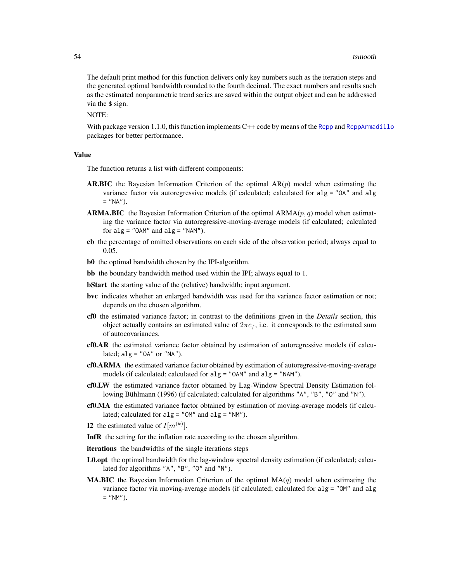<span id="page-53-0"></span>The default print method for this function delivers only key numbers such as the iteration steps and the generated optimal bandwidth rounded to the fourth decimal. The exact numbers and results such as the estimated nonparametric trend series are saved within the output object and can be addressed via the \$ sign.

NOTE:

With package version 1.1.0, this function implements C++ code by means of the [Rcpp](#page-0-0) and [RcppArmadillo](#page-0-0) packages for better performance.

#### Value

The function returns a list with different components:

- **AR.BIC** the Bayesian Information Criterion of the optimal  $AR(p)$  model when estimating the variance factor via autoregressive models (if calculated; calculated for alg = "OA" and alg  $=$  "NA").
- **ARMA.BIC** the Bayesian Information Criterion of the optimal  $ARMA(p, q)$  model when estimating the variance factor via autoregressive-moving-average models (if calculated; calculated for  $alg = "OAM"$  and  $alg = "NAM").$
- cb the percentage of omitted observations on each side of the observation period; always equal to 0.05.
- b0 the optimal bandwidth chosen by the IPI-algorithm.
- bb the boundary bandwidth method used within the IPI; always equal to 1.
- **bStart** the starting value of the (relative) bandwidth; input argument.
- bvc indicates whether an enlarged bandwidth was used for the variance factor estimation or not; depends on the chosen algorithm.
- cf0 the estimated variance factor; in contrast to the definitions given in the *Details* section, this object actually contains an estimated value of  $2\pi c_f$ , i.e. it corresponds to the estimated sum of autocovariances.
- cf0.AR the estimated variance factor obtained by estimation of autoregressive models (if calculated;  $alg = "OA"$  or "NA").
- cf0.ARMA the estimated variance factor obtained by estimation of autoregressive-moving-average models (if calculated; calculated for alg = "OAM" and alg = "NAM").
- cf0.LW the estimated variance factor obtained by Lag-Window Spectral Density Estimation following Bühlmann (1996) (if calculated; calculated for algorithms "A", "B", "O" and "N").
- cf0.MA the estimated variance factor obtained by estimation of moving-average models (if calculated; calculated for  $alg = "OM"$  and  $alg = "NM"$ .
- **I2** the estimated value of  $I[m^{(k)}]$ .
- InfR the setting for the inflation rate according to the chosen algorithm.
- iterations the bandwidths of the single iterations steps
- L0.opt the optimal bandwidth for the lag-window spectral density estimation (if calculated; calculated for algorithms "A", "B", "O" and "N").
- **MA.BIC** the Bayesian Information Criterion of the optimal  $MA(q)$  model when estimating the variance factor via moving-average models (if calculated; calculated for alg = "OM" and alg  $=$  "NM").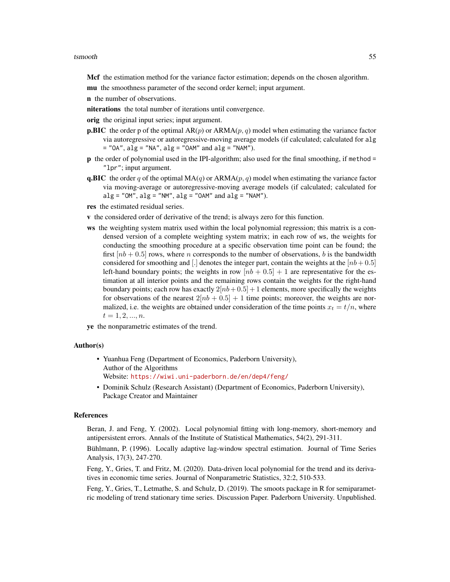Mcf the estimation method for the variance factor estimation; depends on the chosen algorithm.

- mu the smoothness parameter of the second order kernel; input argument.
- n the number of observations.
- niterations the total number of iterations until convergence.

orig the original input series; input argument.

- **p.BIC** the order p of the optimal  $AR(p)$  or  $ARMA(p, q)$  model when estimating the variance factor via autoregressive or autoregressive-moving average models (if calculated; calculated for alg  $=$  "OA", alg  $=$  "NA", alg  $=$  "OAM" and alg  $=$  "NAM").
- p the order of polynomial used in the IPI-algorithm; also used for the final smoothing, if method = "lpr"; input argument.
- **q.BIC** the order q of the optimal  $MA(q)$  or  $ARMA(p, q)$  model when estimating the variance factor via moving-average or autoregressive-moving average models (if calculated; calculated for  $alg = "OM", alg = "NM", alg = "OAM" and alg = "NAM").$
- res the estimated residual series.
- v the considered order of derivative of the trend; is always zero for this function.
- ws the weighting system matrix used within the local polynomial regression; this matrix is a condensed version of a complete weighting system matrix; in each row of ws, the weights for conducting the smoothing procedure at a specific observation time point can be found; the first  $[nb + 0.5]$  rows, where n corresponds to the number of observations, b is the bandwidth considered for smoothing and [.] denotes the integer part, contain the weights at the  $[nb+0.5]$ left-hand boundary points; the weights in row  $[nb + 0.5] + 1$  are representative for the estimation at all interior points and the remaining rows contain the weights for the right-hand boundary points; each row has exactly  $2[nb+0.5] + 1$  elements, more specifically the weights for observations of the nearest  $2[nb + 0.5] + 1$  time points; moreover, the weights are normalized, i.e. the weights are obtained under consideration of the time points  $x_t = t/n$ , where  $t = 1, 2, ..., n$ .

ye the nonparametric estimates of the trend.

# Author(s)

- Yuanhua Feng (Department of Economics, Paderborn University), Author of the Algorithms Website: <https://wiwi.uni-paderborn.de/en/dep4/feng/>
- Dominik Schulz (Research Assistant) (Department of Economics, Paderborn University), Package Creator and Maintainer

# References

Beran, J. and Feng, Y. (2002). Local polynomial fitting with long-memory, short-memory and antipersistent errors. Annals of the Institute of Statistical Mathematics, 54(2), 291-311.

Bühlmann, P. (1996). Locally adaptive lag-window spectral estimation. Journal of Time Series Analysis, 17(3), 247-270.

Feng, Y., Gries, T. and Fritz, M. (2020). Data-driven local polynomial for the trend and its derivatives in economic time series. Journal of Nonparametric Statistics, 32:2, 510-533.

Feng, Y., Gries, T., Letmathe, S. and Schulz, D. (2019). The smoots package in R for semiparametric modeling of trend stationary time series. Discussion Paper. Paderborn University. Unpublished.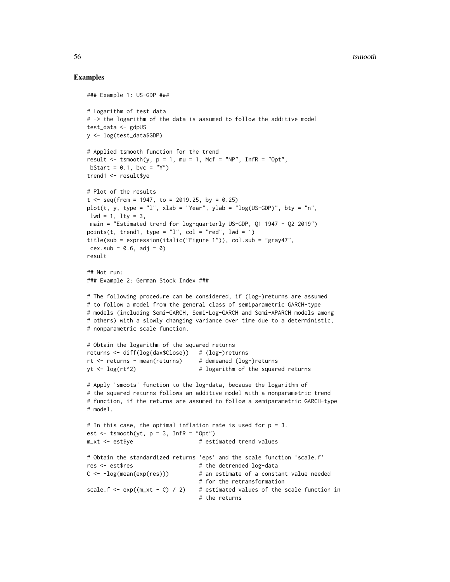#### 56 tsmooth and the state of the state of the state of the state of the state of the state of the state of the state of the state of the state of the state of the state of the state of the state of the state of the state of

# Examples

```
### Example 1: US-GDP ###
# Logarithm of test data
# -> the logarithm of the data is assumed to follow the additive model
test_data <- gdpUS
y <- log(test_data$GDP)
# Applied tsmooth function for the trend
result \le tsmooth(y, p = 1, mu = 1, Mcf = "NP", InfR = "Opt",
bStart = 0.1, bvc = "Y")
trend1 <- result$ye
# Plot of the results
t \leq - seq(from = 1947, to = 2019.25, by = 0.25)
plot(t, y, type = "l", xlab = "Year", ylab = "log(US-GDP)", bty = "n",
1wd = 1, 1ty = 3,
main = "Estimated trend for log-quarterly US-GDP, Q1 1947 - Q2 2019")
points(t, trend1, type = "1", col = "red", lwd = 1)title(sub = expression(italic("Figure 1")), col.sub = "gray47",
cex.sub = 0.6, adj = 0)result
## Not run:
### Example 2: German Stock Index ###
# The following procedure can be considered, if (log-)returns are assumed
# to follow a model from the general class of semiparametric GARCH-type
# models (including Semi-GARCH, Semi-Log-GARCH and Semi-APARCH models among
# others) with a slowly changing variance over time due to a deterministic,
# nonparametric scale function.
# Obtain the logarithm of the squared returns
returns <- diff(log(dax$Close)) # (log-)returns
rt <- returns - mean(returns) # demeaned (log-)returns
yt <- log(rt^2) # logarithm of the squared returns
# Apply 'smoots' function to the log-data, because the logarithm of
# the squared returns follows an additive model with a nonparametric trend
# function, if the returns are assumed to follow a semiparametric GARCH-type
# model.
# In this case, the optimal inflation rate is used for p = 3.
est \le tsmooth(yt, p = 3, InfR = "Opt")
m_x t <- est$ye # estimated trend values
# Obtain the standardized returns 'eps' and the scale function 'scale.f'
res <- est$res # the detrended log-data
C \leftarrow -\log(\text{mean}(\exp(\text{res}))) # an estimate of a constant value needed
                                 # for the retransformation
scale.f \leq exp((m_xt - C) / 2) # estimated values of the scale function in
                                 # the returns
```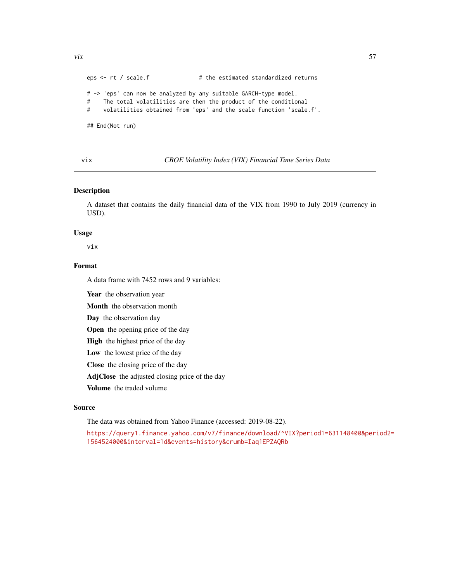eps <- rt / scale.f # the estimated standardized returns # -> 'eps' can now be analyzed by any suitable GARCH-type model. # The total volatilities are then the product of the conditional # volatilities obtained from 'eps' and the scale function 'scale.f'. ## End(Not run)

<span id="page-56-1"></span>vix *CBOE Volatility Index (VIX) Financial Time Series Data*

# Description

A dataset that contains the daily financial data of the VIX from 1990 to July 2019 (currency in USD).

#### Usage

vix

# Format

A data frame with 7452 rows and 9 variables:

Year the observation year

Month the observation month

Day the observation day

Open the opening price of the day

High the highest price of the day

Low the lowest price of the day

Close the closing price of the day

AdjClose the adjusted closing price of the day

Volume the traded volume

# Source

The data was obtained from Yahoo Finance (accessed: 2019-08-22).

[https://query1.finance.yahoo.com/v7/finance/download/^VIX?period1=631148400&peri](https://query1.finance.yahoo.com/v7/finance/download/^VIX?period1=631148400&period2=1564524000&interval=1d&events=history&crumb=Iaq1EPZAQRb)od2= [1564524000&interval=1d&events=history&crumb=Iaq1EPZAQRb](https://query1.finance.yahoo.com/v7/finance/download/^VIX?period1=631148400&period2=1564524000&interval=1d&events=history&crumb=Iaq1EPZAQRb)

<span id="page-56-0"></span>vix 57